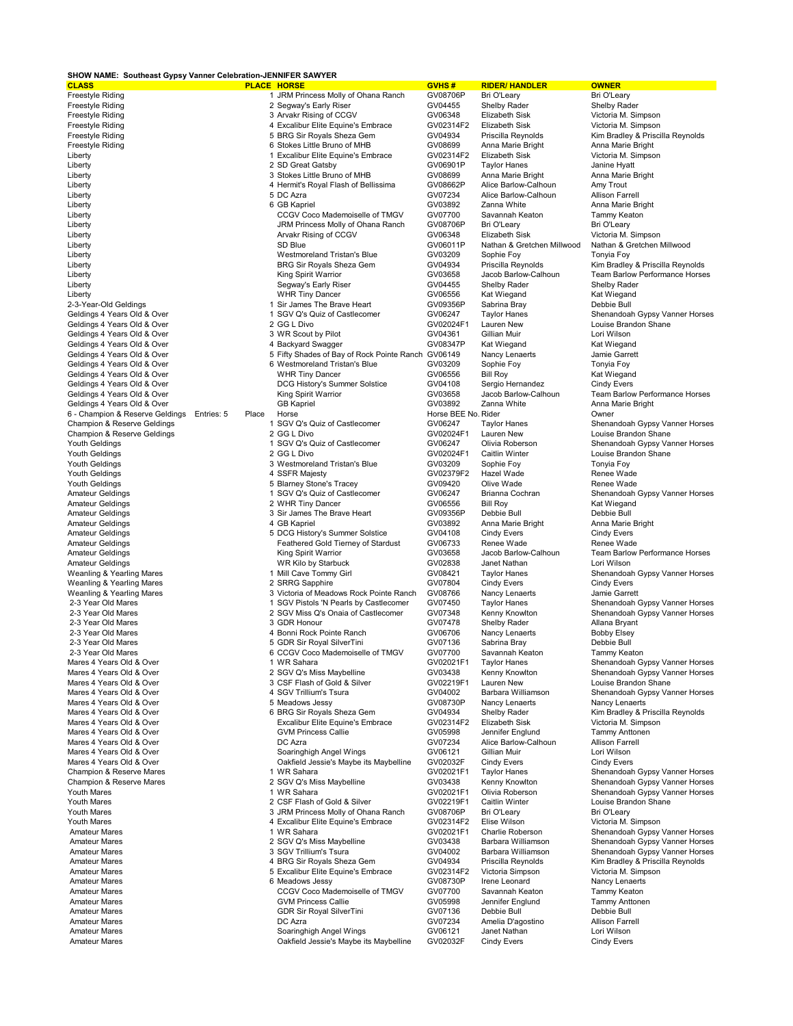## **SHOW NAME: Southeast Gypsy Vanner Celebration-JENNIFER SAWYER**

| <b>CLASS</b>                    |                     | <b>PLACE HORSE</b>                                 | <b>GVHS#</b>        | <b>RIDER/ HANDLER</b>      | <b>OWNER</b>                                                     |
|---------------------------------|---------------------|----------------------------------------------------|---------------------|----------------------------|------------------------------------------------------------------|
| Freestyle Riding                |                     | 1 JRM Princess Molly of Ohana Ranch                | GV08706P            | Bri O'Leary                | Bri O'Leary                                                      |
| Freestyle Riding                |                     | 2 Segway's Early Riser                             | GV04455             | Shelby Rader               | Shelby Rader                                                     |
| Freestyle Riding                |                     | 3 Arvakr Rising of CCGV                            | GV06348             | Elizabeth Sisk             | Victoria M. Simpson                                              |
| Freestyle Riding                |                     | 4 Excalibur Elite Equine's Embrace                 | GV02314F2           | Elizabeth Sisk             | Victoria M. Simpson                                              |
| Freestyle Riding                |                     | 5 BRG Sir Royals Sheza Gem                         | GV04934             | Priscilla Reynolds         | Kim Bradley & Priscilla Reynolds                                 |
| Freestyle Riding                |                     | 6 Stokes Little Bruno of MHB                       | GV08699             | Anna Marie Bright          | Anna Marie Bright                                                |
| Liberty                         |                     | 1 Excalibur Elite Equine's Embrace                 | GV02314F2           | <b>Elizabeth Sisk</b>      | Victoria M. Simpson                                              |
| Liberty                         |                     | 2 SD Great Gatsby                                  | GV06901P            | <b>Taylor Hanes</b>        | Janine Hyatt                                                     |
| Liberty                         |                     | 3 Stokes Little Bruno of MHB                       | GV08699             | Anna Marie Bright          | Anna Marie Bright                                                |
| Liberty                         |                     | 4 Hermit's Royal Flash of Bellissima               | GV08662P            | Alice Barlow-Calhoun       | Amy Trout                                                        |
| Liberty                         |                     | 5 DC Azra                                          | GV07234             | Alice Barlow-Calhoun       | <b>Allison Farrell</b>                                           |
| Liberty                         |                     | 6 GB Kapriel                                       | GV03892             | Zanna White                | Anna Marie Bright                                                |
| Liberty                         |                     | CCGV Coco Mademoiselle of TMGV                     | GV07700             | Savannah Keaton            | Tammy Keaton                                                     |
| Liberty                         |                     | JRM Princess Molly of Ohana Ranch                  | GV08706P            | Bri O'Leary                | Bri O'Leary                                                      |
| Liberty                         |                     | Arvakr Rising of CCGV                              | GV06348             | Elizabeth Sisk             | Victoria M. Simpson                                              |
| Liberty                         |                     | SD Blue                                            | GV06011P            | Nathan & Gretchen Millwood | Nathan & Gretchen Millwood                                       |
| Liberty                         |                     | <b>Westmoreland Tristan's Blue</b>                 | GV03209             | Sophie Foy                 | Tonyia Foy                                                       |
| Liberty                         |                     | <b>BRG Sir Royals Sheza Gem</b>                    | GV04934             | Priscilla Reynolds         | Kim Bradley & Priscilla Reynolds                                 |
| Liberty                         |                     | <b>King Spirit Warrior</b>                         | GV03658             | Jacob Barlow-Calhoun       | <b>Team Barlow Performance Horses</b>                            |
| Liberty                         |                     | Segway's Early Riser                               | GV04455             | Shelby Rader               | Shelby Rader                                                     |
| Liberty                         |                     | <b>WHR Tiny Dancer</b>                             | GV06556             | Kat Wiegand                | Kat Wiegand                                                      |
| 2-3-Year-Old Geldings           |                     | 1 Sir James The Brave Heart                        | GV09356P            | Sabrina Bray               | Debbie Bull                                                      |
| Geldings 4 Years Old & Over     |                     | 1 SGV Q's Quiz of Castlecomer                      | GV06247             | <b>Taylor Hanes</b>        | Shenandoah Gypsy Vanner Horses                                   |
| Geldings 4 Years Old & Over     |                     | 2 GG L Divo                                        | GV02024F1           | Lauren New                 | Louise Brandon Shane                                             |
| Geldings 4 Years Old & Over     |                     | 3 WR Scout by Pilot                                | GV04361             | Gillian Muir               | Lori Wilson                                                      |
| Geldings 4 Years Old & Over     |                     | 4 Backyard Swagger                                 | GV08347P            | Kat Wiegand                | Kat Wiegand                                                      |
| Geldings 4 Years Old & Over     |                     | 5 Fifty Shades of Bay of Rock Pointe Ranch GV06149 |                     | Nancy Lenaerts             | Jamie Garrett                                                    |
| Geldings 4 Years Old & Over     |                     | 6 Westmoreland Tristan's Blue                      | GV03209             | Sophie Foy                 | Tonyia Foy                                                       |
| Geldings 4 Years Old & Over     |                     | <b>WHR Tiny Dancer</b>                             | GV06556             | <b>Bill Roy</b>            | Kat Wiegand                                                      |
| Geldings 4 Years Old & Over     |                     | DCG History's Summer Solstice                      | GV04108             | Sergio Hernandez           | <b>Cindy Evers</b>                                               |
| Geldings 4 Years Old & Over     |                     | <b>King Spirit Warrior</b>                         | GV03658             | Jacob Barlow-Calhoun       | Team Barlow Performance Horses                                   |
| Geldings 4 Years Old & Over     |                     | <b>GB Kapriel</b>                                  | GV03892             | Zanna White                | Anna Marie Bright                                                |
| 6 - Champion & Reserve Geldings | Entries: 5<br>Place | Horse                                              | Horse BEE No. Rider |                            | Owner                                                            |
| Champion & Reserve Geldings     |                     | 1 SGV Q's Quiz of Castlecomer                      | GV06247             | <b>Taylor Hanes</b>        | Shenandoah Gypsy Vanner Horses                                   |
| Champion & Reserve Geldings     |                     | 2 GG L Divo                                        | GV02024F1           | Lauren New                 | Louise Brandon Shane                                             |
| Youth Geldings                  |                     | 1 SGV Q's Quiz of Castlecomer                      | GV06247             | Olivia Roberson            | Shenandoah Gypsy Vanner Horses                                   |
| Youth Geldings                  |                     | 2 GG L Divo                                        | GV02024F1           | <b>Caitlin Winter</b>      | Louise Brandon Shane                                             |
| Youth Geldings                  |                     | 3 Westmoreland Tristan's Blue                      | GV03209             | Sophie Foy                 | Tonyia Foy                                                       |
| Youth Geldings                  |                     | 4 SSFR Majesty                                     | GV02379F2           | Hazel Wade                 | Renee Wade                                                       |
| Youth Geldings                  |                     | 5 Blarney Stone's Tracey                           | GV09420             | Olive Wade                 | Renee Wade                                                       |
| <b>Amateur Geldings</b>         |                     | 1 SGV Q's Quiz of Castlecomer                      | GV06247             | Brianna Cochran            | Shenandoah Gypsy Vanner Horses                                   |
| <b>Amateur Geldings</b>         |                     | 2 WHR Tiny Dancer                                  | GV06556             | <b>Bill Roy</b>            | Kat Wiegand                                                      |
| <b>Amateur Geldings</b>         |                     | 3 Sir James The Brave Heart                        | GV09356P            | Debbie Bull                | Debbie Bull                                                      |
| <b>Amateur Geldings</b>         |                     | 4 GB Kapriel                                       | GV03892             | Anna Marie Bright          | Anna Marie Bright                                                |
| <b>Amateur Geldings</b>         |                     | 5 DCG History's Summer Solstice                    | GV04108             | <b>Cindy Evers</b>         | <b>Cindy Evers</b>                                               |
| <b>Amateur Geldings</b>         |                     | Feathered Gold Tierney of Stardust                 | GV06733             | Renee Wade                 | Renee Wade                                                       |
| <b>Amateur Geldings</b>         |                     | <b>King Spirit Warrior</b>                         | GV03658             | Jacob Barlow-Calhoun       | Team Barlow Performance Horses                                   |
| <b>Amateur Geldings</b>         |                     | WR Kilo by Starbuck                                | GV02838             | Janet Nathan               | Lori Wilson                                                      |
| Weanling & Yearling Mares       |                     | 1 Mill Cave Tommy Girl                             | GV08421             | <b>Taylor Hanes</b>        | Shenandoah Gypsy Vanner Horses                                   |
| Weanling & Yearling Mares       |                     | 2 SRRG Sapphire                                    | GV07804             | <b>Cindy Evers</b>         | Cindy Evers                                                      |
| Weanling & Yearling Mares       |                     | 3 Victoria of Meadows Rock Pointe Ranch            | GV08766             | Nancy Lenaerts             | Jamie Garrett                                                    |
| 2-3 Year Old Mares              |                     | 1 SGV Pistols 'N Pearls by Castlecomer             | GV07450             | <b>Taylor Hanes</b>        | Shenandoah Gypsy Vanner Horses                                   |
| 2-3 Year Old Mares              |                     | 2 SGV Miss Q's Onaia of Castlecomer                | GV07348             | Kenny Knowlton             | Shenandoah Gypsy Vanner Horses                                   |
| 2-3 Year Old Mares              |                     | 3 GDR Honour                                       | GV07478             | Shelby Rader               | Allana Bryant                                                    |
| 2-3 Year Old Mares              |                     | 4 Bonni Rock Pointe Ranch                          | GV06706             | Nancy Lenaerts             | <b>Bobby Elsey</b>                                               |
| 2-3 Year Old Mares              |                     | 5 GDR Sir Royal SilverTini                         | GV07136             | Sabrina Bray               | Debbie Bull                                                      |
| 2-3 Year Old Mares              |                     | 6 CCGV Coco Mademoiselle of TMGV                   | GV07700             | Savannah Keaton            | Tammy Keaton                                                     |
| Mares 4 Years Old & Over        |                     | 1 WR Sahara                                        | GV02021F1           | Taylor Hanes               |                                                                  |
| Mares 4 Years Old & Over        |                     | 2 SGV Q's Miss Maybelline                          | GV03438             | Kenny Knowlton             | Shenandoah Gypsy Vanner Horses<br>Shenandoah Gypsy Vanner Horses |
| Mares 4 Years Old & Over        |                     | 3 CSF Flash of Gold & Silver                       | GV02219F1           | Lauren New                 | Louise Brandon Shane                                             |
| Mares 4 Years Old & Over        |                     | 4 SGV Trillium's Tsura                             | GV04002             | Barbara Williamson         | Shenandoah Gypsy Vanner Horses                                   |
| Mares 4 Years Old & Over        |                     | 5 Meadows Jessy                                    | GV08730P            | Nancy Lenaerts             | Nancy Lenaerts                                                   |
| Mares 4 Years Old & Over        |                     | 6 BRG Sir Royals Sheza Gem                         | GV04934             | Shelby Rader               | Kim Bradley & Priscilla Reynolds                                 |
| Mares 4 Years Old & Over        |                     | <b>Excalibur Elite Equine's Embrace</b>            | GV02314F2           | Elizabeth Sisk             | Victoria M. Simpson                                              |
| Mares 4 Years Old & Over        |                     | <b>GVM Princess Callie</b>                         | GV05998             | Jennifer Englund           | <b>Tammy Anttonen</b>                                            |
| Mares 4 Years Old & Over        |                     | DC Azra                                            | GV07234             | Alice Barlow-Calhoun       | <b>Allison Farrell</b>                                           |
| Mares 4 Years Old & Over        |                     | Soaringhigh Angel Wings                            | GV06121             | Gillian Muir               | Lori Wilson                                                      |
| Mares 4 Years Old & Over        |                     | Oakfield Jessie's Maybe its Maybelline             | GV02032F            | <b>Cindy Evers</b>         | <b>Cindy Evers</b>                                               |
| Champion & Reserve Mares        |                     | 1 WR Sahara                                        | GV02021F1           | <b>Taylor Hanes</b>        | Shenandoah Gypsy Vanner Horses                                   |
| Champion & Reserve Mares        |                     | 2 SGV Q's Miss Maybelline                          | GV03438             | Kenny Knowlton             | Shenandoah Gypsy Vanner Horses                                   |
| Youth Mares                     |                     | 1 WR Sahara                                        | GV02021F1           | Olivia Roberson            | Shenandoah Gypsy Vanner Horses                                   |
| <b>Youth Mares</b>              |                     | 2 CSF Flash of Gold & Silver                       | GV02219F1           | Caitlin Winter             | Louise Brandon Shane                                             |
| Youth Mares                     |                     | 3 JRM Princess Molly of Ohana Ranch                | GV08706P            | Bri O'Leary                | Bri O'Leary                                                      |
| Youth Mares                     |                     | 4 Excalibur Elite Equine's Embrace                 | GV02314F2           | Elise Wilson               | Victoria M. Simpson                                              |
| <b>Amateur Mares</b>            |                     | 1 WR Sahara                                        | GV02021F1           | Charlie Roberson           | Shenandoah Gypsy Vanner Horses                                   |
| <b>Amateur Mares</b>            |                     | 2 SGV Q's Miss Maybelline                          | GV03438             | Barbara Williamson         | Shenandoah Gypsy Vanner Horses                                   |
| <b>Amateur Mares</b>            |                     | 3 SGV Trillium's Tsura                             | GV04002             | Barbara Williamson         | Shenandoah Gypsy Vanner Horses                                   |
| <b>Amateur Mares</b>            |                     | 4 BRG Sir Royals Sheza Gem                         | GV04934             | Priscilla Reynolds         | Kim Bradley & Priscilla Reynolds                                 |
| <b>Amateur Mares</b>            |                     | 5 Excalibur Elite Equine's Embrace                 | GV02314F2           | Victoria Simpson           | Victoria M. Simpson                                              |
| <b>Amateur Mares</b>            |                     | 6 Meadows Jessy                                    | GV08730P            | Irene Leonard              | Nancy Lenaerts                                                   |
| <b>Amateur Mares</b>            |                     | CCGV Coco Mademoiselle of TMGV                     | GV07700             | Savannah Keaton            | Tammy Keaton                                                     |
| <b>Amateur Mares</b>            |                     | <b>GVM Princess Callie</b>                         | GV05998             | Jennifer Englund           | <b>Tammy Anttonen</b>                                            |
| <b>Amateur Mares</b>            |                     | <b>GDR Sir Royal SilverTini</b>                    | GV07136             | Debbie Bull                | Debbie Bull                                                      |
| <b>Amateur Mares</b>            |                     | DC Azra                                            | GV07234             | Amelia D'agostino          | <b>Allison Farrell</b>                                           |
| <b>Amateur Mares</b>            |                     | Soaringhigh Angel Wings                            | GV06121             | Janet Nathan               | Lori Wilson                                                      |
| <b>Amateur Mares</b>            |                     | Oakfield Jessie's Maybe its Maybelline             | GV02032F            | <b>Cindy Evers</b>         | <b>Cindy Evers</b>                                               |
|                                 |                     |                                                    |                     |                            |                                                                  |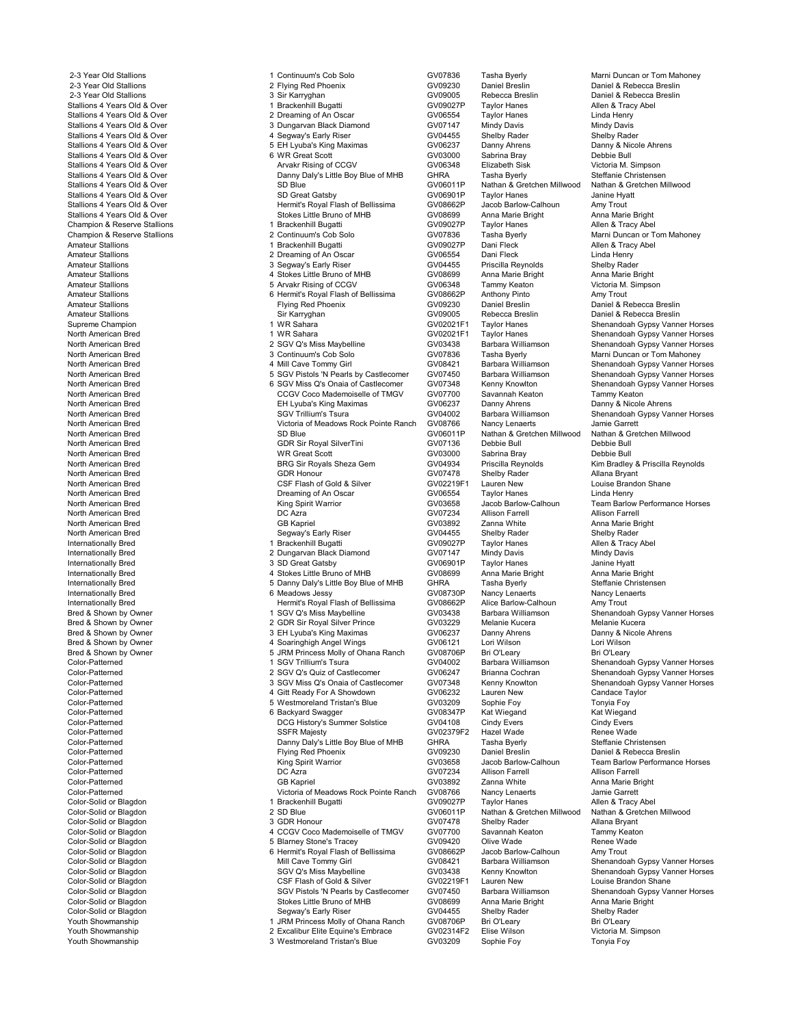Youth Showmanship 2 Excalibur Elite Equine's Embrace GV02314F2 Elise Wilson Victoria M. Simpson

2-3 Year Old Stallions **1 Continuum's Cob Solo** GV07836 Tasha Byerly Marni Duncan or Tom Mahoney<br>2-3 Year Old Stallions **1 Colliney 1 Continuum's Cob Solo** GV09230 Daniel Breslin Daniel & Rebecca Breslin 2-3 Year Old Stallions 2 Flying Red Phoenix 2 Flying Red Phoenix 2 Flying Red Phoenix 2 Flying Red Phoenix 2 GV09230 Daniel Breslin Daniel & Rebecca Breslin 2-3 Year Old Stallions 2 Flying Red Phoenix 2 Flying Red Phoenix 2-3 Year Old Stallions 3 Sir Karryghan GV09005 Rebecca Breslin Daniel & Rebecca Breslin Stallions 4 Years Old & Over 1 Brackenhill Bugatti 1 Bugatti CV09027P Taylor Hanes Allen & Tracy Abel<br>1 Brackenhill Bugatti Gracken GV09027P Taylor Hanes Linda Henry Stallions 4 Years Old & Over 2 2 Dreaming of An Oscar Carres CV06554 Taylor Hanes Linda Henry<br>2 Dreaming of An Oscar GV07147 Mindv Davis Mindv Davis GV17147 Mindv Davis Mindv Davis Stallions 4 Years Old & Over 3 Dungarvan Black Diamond GV07147 Mindy Davis Mindy Davis Stallions 4 Years Old & Over 4 Segway's Early Riser GV04455 Shelby Rader Shelby Rader Stallions 4 Years Old & Over 5 EH Lyuba's King Maximas CV06237 Danny Ahrens Company African Company Africal Company Africal Company Africal Company Africal Company Africal Company Africal Company Africal Company Africal Co Stallions 4 Years Old & Over 6 WR Great Scott GV03000 Sabrina Bray Debbie Bull Stallions 4 Years Old & Over The Contract Contract COCC COV CONSULTIONS CONSULTIONS ARVAKR RISing of CCGV COVO<br>Stallions 4 Years Old & Over The Contract Contract Danny Daly's Little Boy Blue of MHB GHRA Tasha Byerly Steffa Stallions 4 Years Old & Over Christensen<br>Stallions 4 Years Old & Over Christensen<br>Stallions 4 Years Old & Over Stallions 4 Years Old & Over Stallions 4 Years Old & Over Stallions 4 Years Old & Over SD Blue (Stalling A GV06011P Nathan & Gretchen Millwood Nathan & Gretchen Millwood Nathan & Gretchen Millwood<br>SD Great Gatsby (GV06901P Taylor Hanes Janine Hyatt Stallions 4 Years Old & Over The Mystem Supplement Cover SD Great Gatsby Great Gatsby GV06901P Taylor Hanes Janine Hyatter Hyatter Hyatter SD Great Gatsby GV08662P Jacob Barlow-Calhoun Amy Trout<br>Stallions 4 Years Old & Ove Stalling A Years 4 Your Hermit's Royal Flash of Bellissima<br>Stalling Conditions Communications Communications Amy Trout<br>Stalling Communications Anna Marie Bright Anna Marie Bright Stallions 4 Years Old & Over Stokes Little Bruno of MHB GV08699 Anna Marie Bright Anna Marie Bright Anna Marie Bright<br>Champion & Reserve Stallions States and Strach Anna Marie Anna Marie Bright Anna Marie Bright Allen & Tr Champion & Reserve Stallions 1 Brackenhill Bugatti 1 Bugatti CV09027P Taylor Hanes Champion & Reserve Stallions 1 Abell 2 Continuum's Cob Solo 600 CV07836 Tasha Bverly Champion & Reserve Stallions **2 Continuum's Cob Solo** GV07836 Tasha Byerly Marni Duncan or Tom Mahoney<br>2 Continuum's Cob Solo GV09027P Dani Fleck Allen & Tracy Abel Amateur Stallions 1 Brackenhill Bugatti GV09027P Dani Fleck Allen & Tracy Abel Amateur Stallions (Amateur Stallions of An Oscar Company of An Oscar Company Company Company Company Company Company<br>2 Dreaming of An Oscar GV06554 Dani Fleck Linda Henry<br>2 Segway's Early Riser GV04455 Priscilla Reynolds S Amateur Stallions 3 Segway's Early Riser GV04455 Priscilla Reynolds Shelby Rader Amateur Stallions 4 Stokes Little Bruno of MHB GV08699 Anna Marie Bright Anna Marie Bright Amateur Stallions 5 Arvakr Rising of CCGV GV06348 Tammy Keaton Victoria M. Simpson Amateur Stallions and the Communications of Bermit's Royal Flash of Bellissima<br>Amateur Stallions Trout American Communications American Communications American Communications American Commun<br>GV09230 Daniel Breslin Amateur Stallions Flying Red Phoenix GV09230 Daniel Breslin Daniel & Rebecca Breslin Amateur Stallions Sir Karryghan GV09005 Rebecca Breslin Daniel & Rebecca Breslin Supreme Champion 1 WR Sahara 1 WR Sahara 1 2002021F1 Taylor Hanes Shenandoah Gypsy Vanner Horses<br>1 WR Sahara 1 GY02021F1 Taylor Hanes Shenandoah Gyosy Vanner Horses North American Bred **1 WR Sahara** 1 WR Sahara GV02021F1 Taylor Hanes<br>1 American Bred Conner Horses 2 SGV Q's Miss Maybelline GV03438 Barbara Williamson Shenandoah Gypsy Vanner Horses North American Bred 2 CGV Q's Miss Maybelline GV03438 Barbara Williamson Shenandoah Gypsy Vanner Horses<br>2 Sontinuum's Cob Solo GV07836 Tasha Byerly Marni Duncan or Tom Mahoney North American Bred **3 Continuum's Cob Solo** GV07836 Tasha Byerly Marni Duncan or Tom Mahoney<br>1991 - Anni Duncan Bred Gynsy Vanner Hor North American Bred **1986 1 - 1 Mill Cave Tommy Girl** GV08421 Barbara Williamson Shenandoah Gypsy Vanner Horses<br>1997 - Sact Pistols 'N Pearls by Castlecomer GV07450 Barbara Williamson Shenandoah Gypsy Vanner Horses North American Bred 5 SGV Pistols 'N Pearls by Castlecomer GV07450 Barbara Williams<br>North American Bred 5 SGV Pistols 'N Pearls by Castlecomer GV07348 Kenny Knowlton North American Bred 1992 (CGV Miss Q's Onaia of Castlecomer CV07348 Kenny Knowlton Shenandoah Gypsy Vanner Horses<br>North American Bred 1996 (CGV Coco Mademoiselle of TMGV GV07700 Savannah Keaton Tammy Keaton North American Bred **CRICT COLOGY COCO COCO Mademoiselle of TMGV** GV07700 Savannah Keaton Tammy Keaton Tammy Keaton<br>North American Bred Colocole Ahrens EH Lyuba's King Maximas GV06237 Danny Ahrens Danny & Nicole Ahrens North American Bred **EH Lyuba's King Maximas** GV06237 Danny Ahrens Danny Ahrens Cover and Danny Ahrens Cover Ahrens Danny Ahrens Danny Ahrens Danny Ahrens Danny Ahrens Danny Ahrens GCV04002 Barbara Williamson North American Bred **SGV Trillium's Tsura** GV04002 Barbara Williamson Shenandoah Gypsy Vanner Horses<br>North American Bred Stenandoah Syltonia of Meadows Rock Pointe Ranch GV08766 Nancy Lenaerts Jamie Garrett North American Bred Victoria of Meadows Rock Pointe Ranch GV08766 Nancy Lenaerts Jamie Garrett North American Bred Some SD Blue SOME SOME GV06011P Nathan & Gretchen Millwood Nathan & Gretchen Millwood Nathan & G<br>GRETING GREGIUM GREECHEN GREECHEN GERECHEN GREECHEN GREECHEN MINOR BUIL North American Bred **GUR SilverTini** GUR Sir Royal SilverTini GV07136 Debbie Bull Debbie Bull Debbie Bull Debbie Bull Debbie Bull Debbie Bull Debbie Bull Debbie Bull Debbie Bull Debbie Bull Debbie Bull Debbie Bull Debbie B North American Bred WR Great Scott GV03000 Sabrina Bray Debbie Bull North American Bred **BRG Sir Royals Sheza Gem** GV04934 Priscilla Reynolds Kim Bradley & Priscilla Reynolds<br>1991 - GDR Honour GDR October 1997 - Shelby Rader Allana Bryant North American Bred GDR Honour GV07478 Shelby Rader Allana Bryant North American Bred Contract Device Contract Contract Contract Contract Contract Contract Contract Contract Contract Contract Contract Contract Contract Contract Contract Contract Contract Contract Contract Contract Contra North American Bred **North American Bred Construction Bred Dreaming of An Oscar** Construction Bred CV06554 Taylor Hanes<br>North American Bred **Dreaming of An Oscar** GV08554 Taylor Hanes **North American Bred** Construction Bre North American Bred King Spirit Warrior GV03658 Jacob Barlow-Calhoun Team Barlow Performance Horses North American Bred GV07234 Allison Farrell Allison Farrell<br>North American Bred GB Kapriel GV03892 Zanna White Anna Marie Bright North American Bred GB Kapriel GV03892 Zanna White Anna Marie Bright North American Bred Shelby Rader Segway's Early Riser Shelby Rader Shelby Rader Shelby Rader Shelby Rader Shelby Rader Shelby Rader Shelby Rader Shelby Rader Shelby Rader Shelby Rader Shelby Rader Shelby Rader Shelby Rader Internationally Bred 1 Brackenhill Bugatti GV09027P Taylor Hanes Allen & Tracy Abel Internationally Bred 2 Dungarvan Black Diamond GV07147 Mindy Davis Mindy Davis Internationally Bred **1998** 3 SD Great Gatsby 3 SD Great Gatsby<br>19 Internationally Rred 19 Marie Bright 1 Anna Marie Bright 1 Anna Marie Bright 1 Anna Marie Bright 1 Anna Marie Bright Internationally Bred 1996 (South of MHB 1996) (South 2008)<br>Internationally Bred 1996 Anna Marie Bright 1997 (SV08699 Anna Marie Bright Anna Marie Bright Anna Marie Bright<br>Internationally Bred 1997 (Steffanie Christensen 19 Internationally Bred 5 Danny Daly's Little Boy Blue of MHB GHRA Tasha Byerly Steffanie Christensen Internationally Bred 6 Meadows Jessy GV08730P Nancy Lenaerts Nancy Lenaerts Internationally Bred Hermit's Royal Flash of Bellissima<br>Internationally Bred Hermit's Royal Flash of Bellissima GV08662P Alice Barlow-Calhoun Amy Trout<br>I SGV Q's Miss Maybelline GV03438 Barbara Williamson Shenandor Bred & Shown by Owner The Communication of the SGV Q's Miss Maybelline COM COMBARD Barbara Williamson Shenandoah Gypsy Vanner Horses<br>Bred & Shown by Owner Thomas 2 GDR Sir Royal Silver Prince GV03229 Melanie Kucera Melanie Bred & Shown by Owner **2 GDR Sir Royal Silver Prince** GV03229 Melanie Kucera Melanie Kucera<br>2 GDR Shown by Owner 3 EH Lyuba's King Maximas GV06237 Danny Ahrens Danny & Nicole Ahrens Bred & Shown by Owner **3 EH Lyuba's King Maximas** GV06237 Danny Ahrens Danny & Nicole Ahrens Danny Ahrens Danny A<br>Bred & Shown by Owner **Abrens Annual Ahrens Annual Angel Wings** GV06121 Lori Wilson Lori Wilson Bred & Shown by Owner 4 Soaringhigh Angel Wings GV06121 Lori Wilson Lori Wilson Bred & Shown by Owner Figure 2012 5 JRM Princess Molly of Ohana Ranch GV08706P Bri O'Leary<br>1 SGV Trillium's Tsura GV04002 Barbara Williamson Color-Patterned 1 SGV Trillium's Tsura GV04002 Barbara Williamson Shenandoah Gypsy Vanner Horses<br>1 SGV Q's Quiz of Castlecomer GV06247 Brianna Cochran Shenandoah Gypsy Vanner Horses Color-Patterned 2 SGV Q's Quiz of Castlecomer CV06247 Brianna Cochran Shenandoah Gypsy Vanner Horses<br>2 SGV Miss Q's Onaia of Castlecomer GV07348 Kenny Knowlton Shenandoah Gypsy Vanner Horses Color-Patterned **3 SGV Miss Q's Onaia of Castlecomer** GV07348 Kenny Knowlton Shenandoah Gypsy Vanner Horses<br>Color-Patterned **Shenandoah State Color-State Agent Agency Color-State Color-Patterned State Taylor**<br>Color-Pattern Color-Patterned **1.2 Color-Patterned** 1 Color-Patterned 1 Color-Patterned 1 Color-Patterned 1 Color-Patterned 1 Color-Patterned 1 Color-Patterned 1 Color-Patterned 1 Color-Patterned 1 Color-Patterned 1 Color-Patterned 1 Co Color-Patterned 5 Westmoreland Tristan's Blue GV03209 Sophie Foy Tonyia Foy Color-Patterned 6 Backyard Swagger GV08347P Kat Wiegand Kat Wiegand Color-Patterned Color-Patterned Color-Patterned Color-Patterned Color-Patterned Color-Patterned Color-Patterned<br>Color-Patterned Color-Patterned Color-Patterned Color-Patterned Color-Patterned Color-Patterned Color-Patterne Color-Patterned SSFR Majesty GV02379F2 Hazel Wade Renee Wade Color-Patterned **Color-Patterned** Christensen<br>Color-Patterned **Danny Danny Danny Danny Danny Bully** Steffanie Christensen Color-Patterned Danniel & Rebecca Bre Color-Patterned Flying Red Phoenix GV09230 Daniel Breslin Daniel & Rebecca Breslin Color-Patterned **Examples 20 Tana Color-Patterned** Color-Patterned Color-Patterned Color-Patterned Color-Patterned<br>Color-Patterned Color-Patterned Color-Patterned Color-Patterned DC Azra DC Azra Color-Patterned Allison Far Color-Patterned DC Azra GV07234 Allison Farrell Allison Farrell Color-Patterned GB Kapriel GV03892 Zanna White Anna Marie Bright Color-Patterned Victoria of Meadows Rock Pointe Ranch GV08766 Nancy Lenaerts Jamie Garrett<br>Color-Solid or Blagdon Color-Solid or Blagdon 1990 Meadows 1 Brackenhill Bugatti GV09027P Taylor Hanes Allen & Tracy Abel Color-Solid or Blagdon **1 Brackenhill Bugatti** Color-Solid or Blagdon and a River Allen & Tracy Abel<br>1 Brackenhill Bugatti GV09027P Taylor Hanes Allen & Gretchen Millwood Nathan & Gretchen Millwood Nathan & Gretchen Millwo 2 SD Blue (CV06011P Nathan & Gretchen Millwood Nathan & Gretchen Millwood Nathan & Gretchen Millwood Nathan & Gretchen Millwood Nathan & Gretchen Millwood Nathan & Gretchen Millwood Nathan & Gretchen Millwood Nathan Bryant Color-Solid or Blagdon Color-Solid or Blagdon and Color-Solid or Blagdon 3 GDR Honour GV07478 Shelby Rader Allana Bryant<br>Color-Solid or Blagdon Color Shelton 3 4 CCGV Coco Mademoiselle of TMGV GV07700 Savannah Keaton Tammy Color-Solid or Blagdon 4 CCGV Coco Mademoiselle of TMGV GV07700 Savannah Keaton Tammy Keaton Color-Solid or Blagdon 5 Blarney Stone's Tracey GV09420 Olive Wade Renee Wade Color-Solid or Blagdon 6 Hermit's Royal Flash of Bellissima GV08662P Jacob Barlow-Calhoun Amy Trout Color-Solid or Blagdon Mill Cave Tommy Girl GV08421 Barbara Williamson Shenandoah Gypsy Vanner Horses Color-Solid or Blagdon SGV Q's Miss Maybelline GV03438 Kenny Knowlton Shenandoah Gypsy Vanner Horses Color-Solid or Blagdon Color Color Color-Solid or Blagdon Color-Solid or Blagdon Color-Solid or Blagdon Color-<br>Color-Solid or Blagdon Color Color-Solid or Solid at SGV Pistols 'N Pearls by Castlecomer GV07450 Barbara Willi COV Pistols 'N Pearls by Castlecomer GV07450 Barbara Williamson Shenandoah Gyps<br>Stokes Little Bruno of MHB GV08699 Anna Marie Bright Anna Marie Bright Color-Solid or Blagdon **Color-Solid or Blagdon** Color-Solid or Blagdon and Marie Bright Color-Solid or Blagdon Color-Solid or Blagdon Color-Solid or Blagdon Color-Solid or Blagdon Color-Solid or Blagdon Color-Solid or Blag Color-Solid or Blagdon Segway's Early Riser GV04455 Shelby Rader Shelby Rader Youth Showmanship 1 JRM Princess Molly of Ohana Ranch GV08706P Bri O'Leary Bri O'Leary 3 Westmoreland Tristan's Blue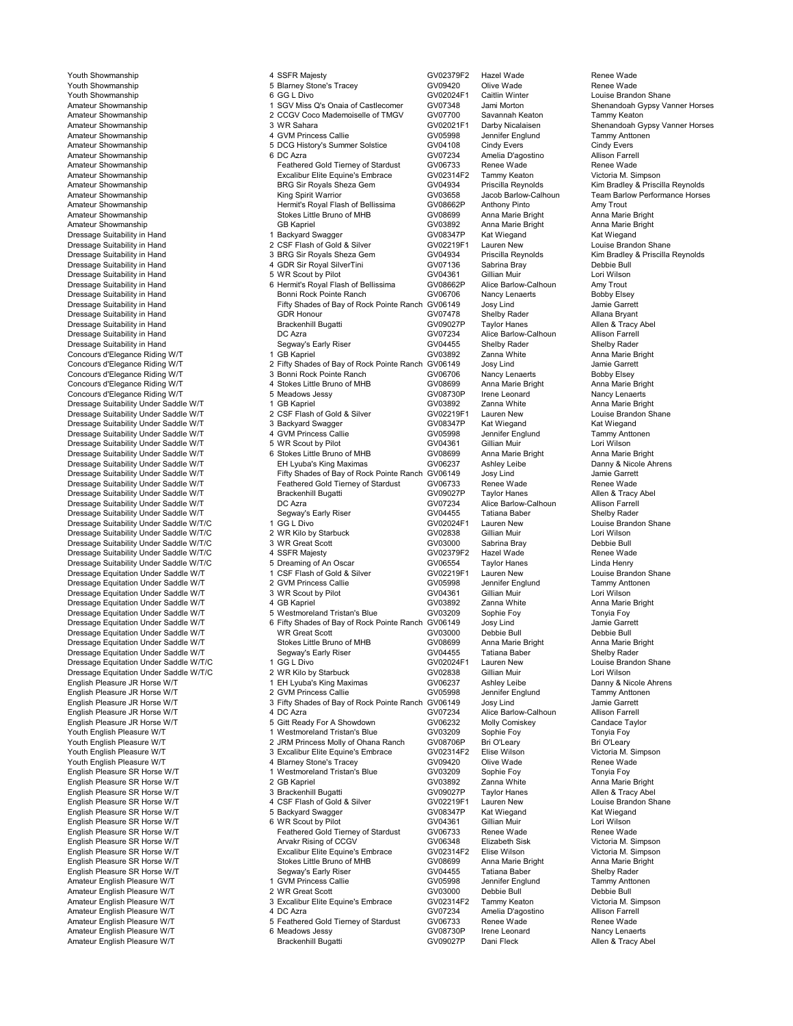English Pleasure SR Horse W/T 2 GB Kapriel 2 GB Kapriel GV03892 2 GB Kapriel GV03892 2 Canna Marie Bright Anna Mari<br>2 3 Brackenhill Bugatti Amateur English Pleasure W/T

Youth Showmanship 4 SSFR Majesty GV02379F2 Hazel Wade Renee Wade Youth Showmanship **No. 2012 1:** The Stone's Tracey **COVID-1990 COVID-1990** Olive Wade Renee Wade Renee Wade Renee Wade Renee Wade Showmanship<br>The Showmanship South Showmanship **6 GG L Divo** Stone's Tracey **GV02024F1** Caitl Youth Showmanship 6 GG L Divo GV02024F1 Caitlin Winter Louise Brandon Shane Amateur Showmanship 1 SGV Miss Q's Onaia of Castlecomer GV07348 Jami Morton Shenandoah Gypsy Vanner Horses<br>1 2 CCGV Coco Mademoiselle of TMGV GV07700 Savannah Keaton Tammy Keaton Tammy Keaton Amateur Showmanship 2 CCGV Coco Mademoiselle of TMGV GV07700 Savannah Keaton Coco Mademoiselle of TMGV GV02021F1 Darby Nicalaisen<br>2 Amateur Showmanship Keaton Tammy Keaton Tammy Keaton Showman Showmanship Amateur Showmanship **3 WR Sahara** 3 WR Sahara GV02021F1 Darby Nicalaisen Shenandoah Gypsy Vanner Horses<br>Amateur Showmanship *A GVM Princes* Callie GV05008 Langifer Englund Tammy Anthonen Amateur Showmanship 4 GVM Princess Callie GV05998 Jennifer Englund Tammy Anttonen Amateur Showmanship<br>Amateur Showmanship **1990 Building COCC History's Summer Solstice** GV04108 Cindy Evers Cindy Evers Cindy Evers<br>Amateur Showmanship Allison Earrell Amateur Showmanship 6 DC Azra GV07234 Amelia D'agostino Allison Farrell Amateur Showmanship<br>Amateur Showmanship Feathered Gold Tierney of Stardust GV06733 Renee Wade Renee Wade<br>Amateur Showmanship Feathered Gold Tierney Sembrace GV02314F2 Tammy Keaton Victoria M. Simpson Amateur Showmanship **Amateur Showmanship** Excalibur Elite Equine's Embrace GV02314F2 Tammy Keaton Victoria M. Simpson BRG Sir Royals Sheza Gem<br>Amateur Showmanship **Amateur Showmanshipson** BRG Sir Royals Sheza Gem GV04934 P Amateur Showmanship BRG Sir Royals Sheza Gem Barca Control Control Control Control Control Control Control Control Control Control Control Control Control Control Control Control Control Control Control Control Control Con Amateur Showmanship North Christen King Spirit Warrior Care Communic Sound Communic Mateur Showmanship<br>Amateur Showmanship North Show Hermit's Royal Flash of Bellissima GV08662P Anthony Pinto Amy Trout Amy Trout Amateur Showmanship **Amy Trout** Hermit's Royal Flash of Bellissima GV08662P Anthony Pinto Amy Trout Amy Trout<br>Amateur Showmanship Anna Marie Bright Stokes Little Bruno of MHB GV08699 Anna Marie Bright Anna Marie Bright Amateur Showmanship Stokes Little Bruno of MHB GV08699 Anna Marie Bright Anna Marie Bright Amateur Showmanship Chromanship GB Kapriel GB Kapriel GV03892 Anna Marie Bright Anna Marie Bright Anna Marie Bright<br>GY08347P Kat Wiedand Kat Wiedand Anna Marie Bright Anna Marie Bright Chroman Chroman Chroman Chroman Chrom Dressage Suitability in Hand **1 Backyard Swagger Mand Communisty Communisty** Communisty Communisty Communisty Communisty<br>1 Back Communisty of Guine Communisty Communisty Communisty Communisty Communisty Communisty Communis Dressage Suitability in Hand 2 CSF Flash of Gold & Silver Consultion CV02219F1 Lauren New Louise Brandon Shane<br>2 CSF Flash of Gold & Silver GV02219F1 Lauren New Louise Brandon Shane Shane Shane Shane Shane Shane Shane Sha 1990 BRG Sir Royals Sheza Gem GV04934 Priscilla Reynolds Communicum Communicum Communicum Bradley & Priscilla Reynolds<br>1990 Belbie Bull GEN General GV07136 Sabrina Bray Debbie Bull Debbie Bull Dressage Suitability in Hand The Contract of the Contract of the Contract of the Contract of the Contract of the Contract of the Contract of the Contract of the Contract of the Contract of the Contract of the Contract of t Dressage Suitability in Hand 5 WR Scout by Pilot GV04361 Gillian Muir Lori Wilson 6 Hermit's Royal Flash of Bellissima GV08662P Alice Barlow-Calhoun Amy Trout<br>Bonni Rock Pointe Ranch GV06706 Nancy Lenaerts Bobby Elsey Dressage Suitability in Hand Bonni Rock Pointe Ranch Bonni Rock Pointe Ranch GV06706 Nancy Lenaerts Bobby Elsey<br>Dressage Suitability in Hand Fifty Shades of Bay of Rock Pointe Ranch GV06149 Josy Lind Jamie Garrett Pifty Shades of Bay of Rock Pointe Ranch GV06149 Josy Lind Jose Josmie Garrett<br>GDR Honour GV07478 Shelby Rader Allana Bryant Dressage Suitability in Hand Connection of CDR Honour CDR Honour GV07478 Shelby Rader Mallana Bryant Allana Bryant<br>Christian Green Brackenhill Bugatti GV09027P Taylor Hanes Allen & Tracy Abel Dressage Suitability in Hand **Brackenhill Bugatti** Bugatti GV09027P Taylor Hanes Allen & Tracy Allen A Tracy Brackenhill Bugatti GV09027P Taylor Hanes Allen & Tracy Allen & Tracy Brackenhill Bugatti GV07234 Alice Barlow-Ca Dressage Suitability in Hand **Disk and Suitable Control** DC Azra COV Ressage Alice Barlow-Calhoun Allison Farrell<br>1991 - Dressage Suitability in Hand Suite Alice The Segway's Early Riser Coverage Shelby Rader (Shelby Rader Dressage Suitability in Hand Sextern Shelby Rader Shelby Rader Shelby Rader Shelby Rader Shelby Rader Shelby Rader Shelby Rader Shelby Rader Shelby Rader Shelby Rader Shelby Rader Shelby Rader Shelby Rader Shelby Rader She Concours d'Elegance Riding W/T 1 GB Kapriel 1 GB Kapriel GV03892 Zanna White Anna Marie Bright Concours d'Elegance Riding W/T 2 Fifty Shades of Bay of Rock Pointe Ranch GV06149 Josy Lind Jamie Garrett 2 Fifty Shades of Bay of Rock Pointe Ranch GV06149 Josy Lind Jamie Garrett Jamie Garrett Bay of Rock Pointe R<br>3 Bonni Rock Pointe Ranch GV06706 Nancy Lenaerts Bobby Elsey Concours d'Elegance Riding W/T<br>Concours d'Elegance Riding W/T 3 Bonni Rock Pointe Ranch GV06706 Nancy Lenaerts Bobby Elsey<br>Concours d'Elegance Riding W/T 4 Stokes Little Bruno of MHB GV08699 Anna Marie Bright Anna Marie Br Concours d'Elegance Riding W/T **4** Stokes Little Bruno of MHB GV08699 Anna Marie Bright Anna Marie Bright Anna Marie Bright Anna Marie Bright Anna Marie Bright Anna Marie Bright Anna Marie Bright Bright Anna Marie Bright A Concours d'Elegance Riding W/T 5 Meadows Jessy GV08730P Irene Leonard Nancy Lenaerts Dressage Suitability Under Saddle W/T 1 GB Kapriel Companies Anna Marie Bright Companies Companies Companies A<br>1 GB Kapriel GV0219F1 Lauren Mew Gomme Brandon Shane Brandon Shane Anna Marie Anna Marie Brandon Shane Dressage Suitability Under Saddle W/T 2 CSF Flash of Gold & Silver GV02219F1 Lauren New Louise Brandon Louise Brandon Shane Stand Shane Stand Shane Stand Shane Stand Shane Stand Shane Stand Shane Stand Shane Stand Shane Sh Dressage Suitability Under Saddle W/T 3 Backyard Swagger CV08347P Kat Wiegand Kat Wiegand Kat Wiegand<br>19 Backyard CVD 4 GVM Princess Callie GV GV05998 Jennifer Englund Tammy Anttonen Dressage Suitability Under Saddle W/T **1988 COVIDES AND ALC AND PRINCESS Callie** GROUP COVERS ARE GOVERN AND TRIMMY Ant<br>1999 Dressage Suitability Under Saddle W/T **1999 COVIDENT AND SAN AND SCOULD AND SAN COV** OF GOVERN AN Dressage Suitability Under Saddle W/T 5 WR Scout by Pilot GV04361 Gillian Muir Lori Wilson Lori Wilson<br>19 Dressage Suitability Under Saddle W/T 6 Stokes Little Bruno of MHB GV08699 Anna Marie Bright Anna Marie Bright Dressage Suitability Under Saddle W/T **6** Stokes Little Bruno of MHB GV08699 Anna Marie Bright Anna Marie Bright Anna Marie Bright Anna Marie Bright Anna Marie Bright Computer Anna Marie Bright Bright Bright Bright Bright Dressage Suitability Under Saddle W/T **EH Lyuba's King Maximas** GV06237 Ashley Leibe Danny & Nicole Ahrensage Suitability Under Saddle W/T Fifty Shades of Bay of Rock Pointe Ranch GV06149 Josy Lind Jamie Garrett Dressage Suitability Under Saddle W/T Fifty Shades of Bay of Rock Pointe Ranch GV06149 Josy Lind Jamie Garrett<br>Dressage Suitability Under Saddle W/T Feathered Gold Tierney of Stardust GV06733 Renee Wade Renee Wade ness and Dress the Suitable Team of the Suitable Presence of Stardiered Gold Tierney of Stardust GV06733 Renee Wade<br>Brackenhill Bugatti GV09027P Taylor Hanes Allen & Tracy Abel Dressage Suitability Under Saddle W/T Brackenhill Bugatti Bugatti COV09027P Taylor Hanes Allen & Tracy Allen & Tracy Brackenhill Bugatti GV09027P Taylor Hanes Allen & Tracy Allen & Tracy Brackenhill Bugatti GV09027P Taylor Dressage Suitability Under Saddle W/T **DR** DC Azra COVID DRESSAGE COVID Alice Barlow-Calhoun Allison Farrell<br>Dressage Suitability Under Saddle W/T Segway's Early Riser GV04455 Tatiana Baber Shelby Rader Dressage Suitability Under Saddle W/T **Segway's Early Riser Statem C**GV04455 Tatiana Baber Shelby Rader Shelby Rader Shelby Rader Shelby Rader Shelby Rader Shelby Rader Shane<br>State Suitability Under Saddle W/T/C Shane 1 GG Dressage Suitability Under Saddle W/T/C 1 GG L Divo GV02024F1 Lauren New Louise Brandon Shane Dressage Suitability Under Saddle W/T/C and the Suit of Miles of Miles of Starbuck GV02838 Gillian Muir Lori Wilson<br>1 Dressage Suitability Under Saddle W/T/C 3 WR Great Scott Starbuck GV03000 Sabrina Bray Debbie Bull Dressage Suitability Under Saddle W/T/C and South Scott Scott Control of Sabrina Bray Community Under Saddle W/T/C and SSFR Majesty Community Community Under Saddle W/T/C 4 SSFR Majesty Community Community Under Saddle W/T Dressage Suitability Under Saddle W/T/C 4 SSFR Majesty GV02379F2 Hazel Wade Renee Wad<br>Dressage Suitability Under Saddle W/T/C 5 Dreaming of An Oscar GV06554 Taylor Hanes Linda Dressage Suitability Under Saddle W/T/C 5 Dreaming of An Oscar 6 Dreaming of An Oscar GV06554 Taylor Hanes Linda Henry<br>Dressage Equitation Under Saddle W/T 1 CSE Flash of Gold & Silver GV02219E1 Lauren New 1 Ouise Brandon Dressage Equitation Under Saddle W/T 1 CSF Flash of Gold & Silver Company of CO2219F1 Lauren New Louise Brandon Stream Louise Brandon Stream 2 GVM Princess Callie Company Antonen Company Antonen Dressage Equitation Under S Dressage Equitation Under Saddle W/T 2 GVM Princess Callie CV05998 Jennifer Englund<br>2 GV04361 Gillian Muir Christenen Antenent Cover Student Cover Server Antenent Cover Server Gillian Muir Dressage Equitation Under Saddle W/T and the Scout by Pilot Care of GV04361 Gillian Muir Cori Wilson<br>Dressage Equitation Under Saddle W/T 4 GB Kapriel Care and GV03892 Zanna White Anna Marie Bright Dressage Equitation Under Saddle W/T **4 GB Kapriel COV** GV03892 Zanna White Anna Marie Anna Marie Anna Marie Anna<br>Dressage Equitation Under Saddle W/T 5 Westmoreland Tristan's Blue GV03209 Sophie Foy Tonyia Foy Dressage Equitation Under Saddle W/T 5 Westmoreland Tristan's Blue GV03209 Sophie Foy Tonyia Foy<br>1 Gressage Equitation Under Saddle W/T 6 Fifty Shades of Bay of Rock Pointe Ranch GV06149 Josy Lind Dressage Equitation Under Saddle W/T 6 Fifty Shades of Bay of Rock Pointe Ranch GV06149 Josy Lind Jamie Garrett Dressage Equitation Under Saddle W/T North Coreat Scott Number of North Coreans Coreans of Metal Debbie Bull Debbie Bull Debbie Bull Debbie Bull Debbie Bull Debbie Bull Debbie Bull Anna Marie Bright North Stright Anna Mari Dressage Equitation Under Saddle W/T Stokes Little Bruno of MHB GV08699 Anna Marie Bright Anna Marie Bright Anna Marie Bright Anna Marie Bright Anna Marie Bright Anna Marie Bright Anna Marie Bright Shelby Rader Stokes Litt Dressage Equitation Under Saddle W/T Segway's Early Riser GV04455 Tatiana Baber Shelby Rader Theory Shelby Rader<br>1 GG L Divo Shelby Raddle W/T/C 1 GG L Divo Shelby Sunday States GV02024F1 Lauren New Shelby Rader Shane Dressage Equitation Under Saddle W/T/C **1 GG L Divo COV** GV02024F1 Lauren New Louise Brandon Cover Louise Brandon Shane Shane Cover 1 GG L Divo GV02024F1 Lauren New Louise Brandon Shane Shane Core 2 WR Kilo by Starbuck GV0 Dressage Equitation Under Saddle W/T/C 2 WR Kilo by Starbuck GV02838 Gillian Muir Cover Lori Wilson<br>2 English Pleasure JR Horse W/T Cover Christopher's 1 EH Lyuba's King Maximas GV06237 Ashley Leibe Counny & Nicole Ahrens English Pleasure JR Horse W/T **1 EH Lyuba's King Maximas** GV06237 Ashley Leibe Danny & Nicole A<br>1 English Pleasure JR Horse W/T 2 GVM Princess Callie CGV05998 Jennifer Englund Tammy Anttonen English Pleasure JR Horse W/T 1990 2 GVM Princess Callie 1990 CV05998 Jennifer Englund Tammy Anttonen<br>1991 English Pleasure JR Horse W/T 1999 3 Fifty Shades of Bay of Rock Pointe Ranch GV06149 Josy Lind Carrett Shitty Shades of Bay of Rock Pointe Ranch GV06149 Josy Lind<br>4 DC Azra dice Barlow-Calhoun GV07234 Alice Barlow-Calhoun English Pleasure JR Horse W/T **Acknow Acknow Acknow Acknow Acknow Acknow** GV07234 Alice Barlow-Calhoun Allison Farrell<br>4 DC Azra GV06232 Molly Comiskey Candace Taylor English Pleasure JR Horse W/T Form the Solit Ready For A Showdown CCV06232 Molly Comiskey Candace Taylor Candace Taylor<br>The Solit Read of CV03209 Sophie Form Tonyia Form Tonyia Form the Solit Read of Nestmoreland Tristan's Youth English Pleasure W/T 1 Westmoreland Tristan's Blue GV03209 Sophie Foy Tonyia Foy Youth English Pleasure W/T 2 JRM Princess Molly of Ohana Ranch GV08706P Bri O'Leary Bri O'Leary<br>2 Youth English Pleasure W/T 3 Excalibur Elite Equine's Embrace GV02314F2 Elise Wilson Victoria M. Signalibur Elite Equine's Embrace GV02314F2 Elise Wilson Victoria M. Simpson Victoria M. Simpson C<br>4 Blarney Stone's Tracey vade GV09420 Olive Wade Renee Wade Youth English Pleasure W/T 4 Blarney Stone's Tracey GV09420 Olive Wade Renee Wad<br>English Pleasure SR Horse W/T 1 Westmoreland Tristan's Blue GV03209 Sophie Fov Tonvia Fov English Pleasure SR Horse W/T **1** Westmoreland Tristan's Blue 6V03209 Sophie Foy Tonyia Foy<br>1 2 GB Kapriel Chistan's Burgos Convention Plannis Chistanic Bright Formula Computer of the Anna Marie Bright English Pleasure SR Horse W/T **3** Brackenhill Bugatti Sugatti GV09027P Taylor Hanes Allen & Tracy Abel<br>1 Autor Allen Buries Archive W/T Allen & Archives Allen Andreas Allen Andreas Allen & Tracy Abel Annes Archives English Pleasure SR Horse W/T **1990 CONTAB A CONTAB OF COLO A** Silver GV02219F1 Lauren New Louise Brandon Couise Brand<br>1991 English Pleasure SR Horse W/T **CONTAB A CONTAB A SHANE A SHANE A SHANE A** SHANE CONTAB A SHANE A S English Pleasure SR Horse W/T **5 Backyard Swagger** GV08347P Kat Wiegand Kat Wiegan Kat Wiegan<br>English Pleasure SR Horse W/T **6 WR Scout by Pilot** GV04361 Gillian Muir Lori Wilson English Pleasure SR Horse W/T **6** WR Scout by Pilot GV04361 Gillian Muir Lori Wilson<br>English Pleasure SR Horse W/T Feathered Gold Tierney of Stardust GV06733 Renee Wade Renee Wade Feathered Gold Tierney of Stardust GV06733 Renee Wade Renee Wade Renee Wade Renee Wade Renee Wade Renee Wade R<br>Arvakr Rising of CCGV BROW GV06348 Elizabeth Sisk Sinch Start Renee Wade Renee Wade English Pleasure SR Horse W/T **Arxakr Rising of CCGV** GV06348 Elizabeth Sisk Victoria M. Simpson<br>English Pleasure SR Horse W/T **Guide Constant Constant Constant Constant** GEO GV02314F2 Elise Wilson Victoria M. Simpson Excalibur Elite Equine's Embrace GV02314F2 Elise Wilson Victoria M. Simpso<br>Stokes Little Bruno of MHB GV08699 Anna Marie Bright Anna Marie Bright English Pleasure SR Horse W/T Stokes Little Bruno of MHB GV08699 Anna Marie Bright Anna Marie Bright Anna Marie Bright Anna Marie Bright Anna Marie Bright Anna Marie Bright Anna Marie Bright Shelby Rader Shelby Rader Shelb English Pleasure SR Horse W/T Segway's Early Riser GV04455 Tatiana Baber Shelby Rader Amateur English Pleasure W/T 1 GVM Princess Callie Callie COOS998 Jennifer Englund Tammy Anttonen Commiter Ant<br>Amateur English Pleasure W/T 2 WR Great Scott GV03000 Debbie Bull Amateur English Pleasure W/T **2** WR Great Scott Group CV03000 Debbie Bull Debbie Bull Debbie Bull Chromateur English Pleasure W/T<br>2 Stateur Gramateur Debasure W/T Amproon State Breat State Bullie Equine's Embrace GV02314F2 3 Excalibur Elite Equine's Embrace GV02314<br>4 DC Azra GV07234 Amateur English Pleasure W/T **Amateur English Pleasure W/T** 4 DC Azra **And Allison Farrell**<br>Amateur English Pleasure W/T **Amateur English Pleasure Warrell Amateur English Pleasure Warrell Amateur English P** Amateur English Pleasure General GV06733<br>Amateur English Blead Communic Stardust GV08730P Irene Leonard Renee Nancy Lenaerts Amateur English Pleasure W/T 6 Meadows Jessy GV08730P Irene Leonard Nancy Lenaerts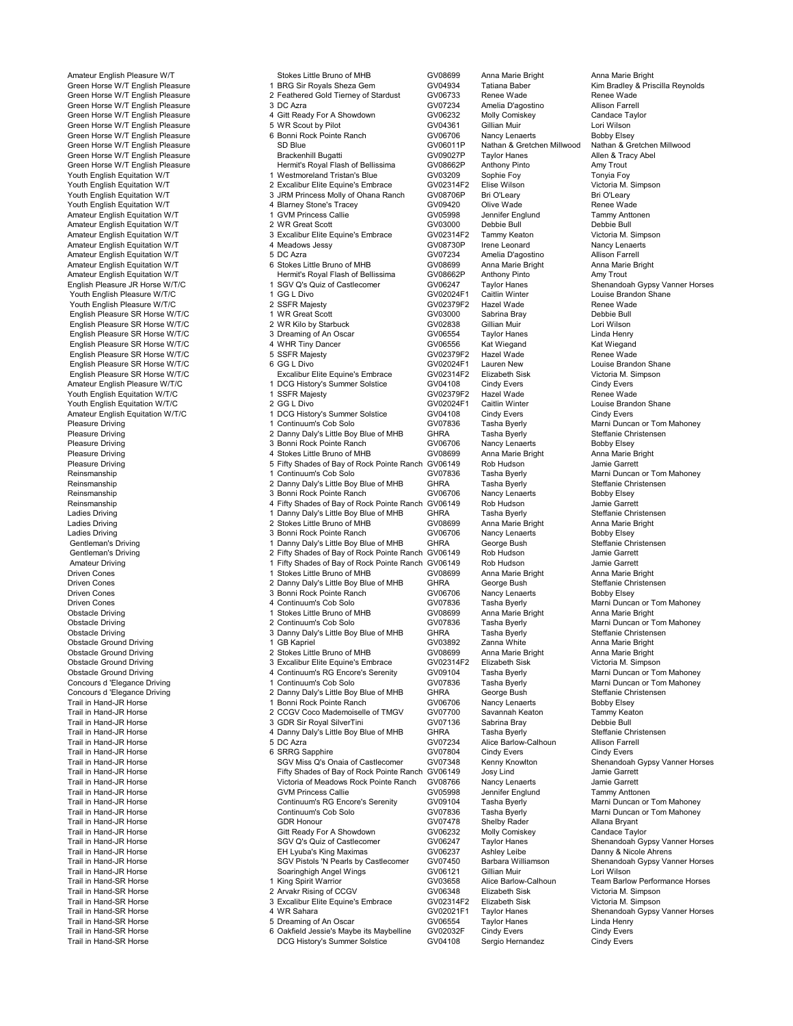Trail in Hand-SR Horse 6 Oakfield Jessie's Maybe its Maybelline GV02032F Cindy Evers Cindy Evers

Amateur English Pleasure W/T **Stokes Little Bruno of MHB** GV08699 Anna Marie Bright Anna Marie Bright Anna Marie Bright<br>Green Horse W/T English Pleasure **Anna Maria Anna Anna Anna Anna Anna Marie Bright Anna Marie Bright A** Green Horse W/T English Pleasure 1 BRG Sir Royals Sheza Gem GV04934 Tatiana Baber (Kim Bradley & Reynolds)<br>Green Horse W/T English Pleasure 2 Feathered Gold Tierney of Stardust GV06733 Renee Wade Renee Wade 2 Feathered Gold Tierney of Stardust GV06733 Renee Wade Renee Wade Renee Wade Renee Wade Renee Wade Renee Wade Green Horse W/T English Pleasure 3 DC Azra GV07234 Amelia D'agostino Allison Farrell Green Horse W/T English Pleasure **4 Gitt Ready For A Showdown** GV06232 Molly Comiskey Candace Taylor Communist Communist Communist Communist Communist Communist Communist Communist Communist Communist Communist Communist C Green Horse W/T English Pleasure **5 WR Scout by Pilot** GV04361 Gillian Muir Lori Wilson Lori Wilson<br>Green Horse W/T English Pleasure **Green Contained Automatic Containe**r Green GV06706 Nancy Lenaerts Bobby Flsey Green Horse W/T English Pleasure **6 Bonni Rock Pointe Ranch CGV06706** Nancy Lenaerts Bobby Elsey<br>GV06011P Nathan & Gretchen Milwood Nathan & Gretchen Milwood Nathan & Gretchen Milwood Nathan & Gretchen Milwood Green Horse W/T English Pleasure SD Blue SD Blue GV06011P Nathan & Gretchen Millwood Nathan & Gretcher<br>Green Horse W/T English Pleasure Stretcher Street Brackenhill Bugatti Green Green Horse W/T English Pleasure S Green Horse W/T English Pleasure **Brackenhill Bugatti Example States Allen & Trackenhill Bugatti Allen & Trackenhill Bugatti GV09027P Taylor Hanes Allen & Trackenhill Bugatti GV09027P Taylor Hanes Amy Trout Amy Trout Hermi** Green Horse W/T English Pleasure The Hermit's Royal Flash of Bellissima CV08662P Anthony Pinto Amy Trout<br>Hermit's Royal Flash of Bellissima GV08662P Anthony Pinto Amy Trout<br>Youth English Equitation W/T 1 Westmoreland Trist Youth English Equitation W/T 1 Westmoreland Tristan's Blue Control Control of Control Control of Control of Tonyia Foy<br>Youth English Equitation W/T 1 Westmoreland Tristan's Blue GV03209 Sophie Foy Tonyia Foy Tonyia Foy<br>You Youth English Equitation W/T 2 Excalibur Elite Equine's Embrace GV02314F2 Elise Wilson Victoria M. Simpson<br>Youth English Equitation W/T 3 JRM Princess Molly of Ohana Ranch GV08706P Volket English Equitation Equitation Communism Equitation Mitch Statement Articleary<br>The State of Obana Ranch GV09420 Olive Wade Bri Renee Wade Youth English Equitation W/T 4 Blarney Stone's Tracey GV09420 Olive Wade Renee Wade<br>Amateur English Equitation W/T 1 GVM Princess Callie GV05998 Jennifer Englund Tammy Amateur English Equitation W/T 1 GVM Princess Callie 1 GV05998 Jennifer Englund Tammy Anttonen Comme<br>Amateur English Equitation W/T 1 Club 2 WR Great Scott 1 GV03000 Debbie Bull Debbie Bull Amateur English Equitation W/T 2 WR Great Scott GV03000 Debbie Bull Debbie Bull<br>Amateur English Equitation W/T 3 Excalibur Elite Equine's Embrace GV02314F2 Tammy Keaton V Amateur English Equitation W/T 3 Excalibur Elite Equine's Embrace GV02314F2 Tammy Keaton Victoria M. Simp<br>Amateur English Equitation W/T 4 Meadows Jessy GV08730P Irene Leonard Amateur English Equitation W/T **Amateur English Equitation W/T** 4 Meadows Jessy **GV08730P** Irene Leonard Nancy Lenaerts Communism Communism Communism Communism Communism Communism Communism Communism Communism Communism Co Amateur English Equitation W/T 5 DC Azra GV07234 Amelia D'agostino Allison Farrell Amateur English Equitation W/T 6 Stokes Little Bruno of MHB GV08699 Anna Marie Bright Anna Marie Bright Amateur English Equitation W/T **Hermit's Royal Flash of Bellissima** GV08662P Anthony Pinto Amy Trouto American C<br>English Pleasure JR Horse W/T/C **Amy Trouto Amy Trouto Amy Trouto Amy Trouto Amy Trouto Amy Troutor Hanes** 1 SGV Q's Quiz of Castlecomer GV06247 Taylor Hanes Shenandoah Gypsy Vanner Horses CHO CONTECT CONTECT CONTECT C<br>1 GG L Divo CHO CONTECT GV02024F1 Caitlin Winter Coulse Brandon Shane Youth English Pleasure W/T/C **1986 CONTENT 1999 11 GEO L Divo GV02024F1** Caitlin Winter Coulse Brand<br>1999 Youth English Pleasure W/T/C **CONTENT 2009 20 SSFR Majesty** CONTENT SHANG GV02379F2 Hazel Wade Youth English Pleasure W/T/C <br>
English Pleasure SR Horse W/T/C 
2 SSFR Majesty Correspondent CV03000 Sabrina Bray Computer SR Horse Wad<br>
English Pleasure SR Horse W/T/C 
2 10 MR Great Scott CV03000 Sabrina Bray English Pleasure SR Horse W/T/C and the Duncat Scott of the CV03000 Sabrina Bray The Debbie Bull<br>English Pleasure SR Horse W/T/C 2 WR Kilo by Starbuck GV02838 Gillian Muir Lori Wilson English Pleasure SR Horse W/T/C 2 WR Kilo by Starbuck GV02838 Gillian Muir Lori Wilson Lori Wilson<br>2 Brolish Pleasure SR Horse W/T/C 3 Dreaming of An Oscar GV06554 Tavlor Hanes Linda Henry English Pleasure SR Horse W/T/C 3 Dreaming of An Oscar GV06554 Taylor Hanes Linda Henry English Pleasure SR Horse W/T/C **4 WHR Tiny Dancer** CV06556 Kat Wiegand Kat Wiegand Kat Wiegand<br>English Pleasure SR Horse W/T/C 5 SSFR Maiesty CHO 6002379F2 Hazel Wade Renee Wade English Pleasure SR Horse W/T/C **5 SSFR Majesty** GV02379F2 Hazel Wade Renee Wade Renee Wade Renee Wade Renee Wade<br>Foolish Pleasure SR Horse W/T/C C CGL Divorum GGCL Divorum GGC GV02024F1 Lauren New Louise Brandon Shane English Pleasure SR Horse W/T/C **6 GG L Divo** 6 GG L Divo GV02024F1 Lauren New Louise Brandon Shane Conserved C<br>English Pleasure SR Horse W/T/C **COVID Excalibur Elite Equine's Embrace** GV02314F2 Elizabeth Sisk Victoria M. English Pleasure SR Horse W/T/C Excalibur Elite Equine's Embrace CO2314F2 Elizabeth Sisk Victoria M. Simpson Excalibur Elite Equine's Embrace GV02314F2 Elizabeth Sisk Victoria M. Simpson Excalibur Elite Equine's Embrace GV 1 DCG History's Summer Solstice GV04108 Cindy Evers Cindy Evers Cindy Evers Cindy Evers Cindy Evers Cindy Evers Cindy Evers Cindy Evers Cindy Evers Cindy Evers Cindy Evers Cindy Evers Cindy Evers Cindy Evers Cindy Evens Ci Youth English Equitation W/T/C 1 SSFR Majesty GV02379F2 Hazel Wade Renee Wade <br>Youth English Equitation W/T/C 2 GG L Divo GV02024F1 Caitlin Winter Louise Brando Youth English Equitation W/T/C 2 GG L Divo GV02024F1 Caitlin Winter Louise Bran<br>Amateur English Equitation W/T/C 1 DCG History's Summer Solstice GV04108 Cindy Evers Amateur English Equitation W/T/C 1 DCG History's Summer Solstice GV04108 Cindy Evers Computer Computer Computer<br>Pleasure Driving Tasha Byerly Computer Computer Computer Computer Computer Computer Computer Computer Computer Pleasure Driving The Solom Continuum's Cob Solo Govern Communis Cob Solo GV07836 Tasha Byerly Marni Duncan or Tom Mahoney<br>1 Continuum 2 Danny Daly's Little Boy Blue of MHB GHRA Tasha Byerly Steffanie Christensen Pleasure Driving The Steffanie Christense of Danny Daly's Little Boy Blue of MHB GHRA Tasha Byerly Steffanie Ch<br>2 Denni Rock Pointe Ranch GV06706 Nancy Lenaerts Bobby Elsey Steffanie Christensensensensensensensensensensens Pleasure Driving The State of the State of School of Management Capacity Pleasure Driving and the State of State Anna Marie Anna Marie Bright<br>24 Stokes Little Bruno of MHB GV08699 Anna Marie Bright Anna Marie Bright Pleasure Driving Company of the Stokes Little Bruno of MHB GV08699 Anna Marie Bright Anna Marie Bright Anna Marie B<br>1 Serith Shades of Bay of Rock Pointe Ranch GV06149 Rob Hudson Jamie Garrett Pleasure Driving 6 Form of Example 5 Fifty Shades of Bay of Rock Pointe Ranch GV06149 Rob Hudson Pointe Ranch<br>1 Continuum's Cob Solo Goro GV07836 Tasha Byerly Reinsmanship 1 Continuum's Cob Solo Golo Government Cob Solo GV07836 Tasha Byerly Marni Duncan or Tom Mahoney<br>1 Danny Daly's Little Boy Blue of MHB GHRA Tasha Byerly Steffanie Christensen Reinsmanship 2 Danny Daly's Little Boy Blue of MHB GHRA Tasha Byerly Steffanie Christensen<br>2 Danny Daly's Little Boy Blue of MHB GHRA Tasha Byerly Steffanie Chri<br>2 Germanship - Shonni Rock Pointe Ranch GV06706 Nancy Lenae Reinsmanship 3 Bonni Rock Pointe Ranch CV06706 Nancy Lenaerts Bobby Elsey<br>
3 Bonni Rock Pointe Ranch GV06706 Nancy Lenaerts Bobby Elsey<br>
2 Pifty Shades of Bay of Rock Pointe Ranch GV06149 Rob Hudson Jamie Garrett Reinsmanship 4 Fifty Shades of Bay of Rock Pointe Ranch GV06149 Rob Hudson Jamie Garrett Ladies Driving 1 Danny Daly's Little Boy Blue of MHB GHRA Tasha Byerly Steffanie Christens<br>1 Danny Daly's Little Bruno of MHB GV08699 Anna Marie Bright Anna Marie Bright Ladies Driving and Communication of 2 Stokes Little Bruno of MHB GV08699 Anna Marie Bright Anna Marie I<br>2 Stokes Little Bruno of MHB GV06706 Nancy Lenaerts Bobby Elsey Ladies Driving 3 Bonni Rock Pointe Ranch GV06706 Nancy Lenaerts Bobby Elsey Gentleman's Driving and the term of the 1 Danny Daly's Little Boy Blue of MHB GHRA George Bush Steffanie Chri<br>1 Danny Daly's Little Boy Blue of MHB GHRA GV06149 Rob Hudson Jamie Garrett Gentleman's Driving Community Community Community Shades of Bay of Rock Pointe Ranch GV06149 Rob Hudson Commun<br>2 Fifty Shades of Bay of Rock Pointe Ranch GV06149 Rob Hudson Jamie Garrett Amateur Driving **1 Fifty Shades of Bay of Rock Pointe Ranch GV06149** Rob Hudson Jamie Garrett Amazon Jamie Garrett<br>1 Stokes Little Bruno of MHB GV08699 Anna Marie Brinht Anna Marie Brinht Driven Cones 1 Stokes Little Bruno of MHB GV08699 Anna Marie Bright Anna Marie Bright Driven Cones 2 Danny Daly's Little Boy Blue of MHB GHRA George Bush Steffanie Christensen Driven Cones 3 Bonni Rock Pointe Ranch GV06706 Nancy Lenaerts Bobby Elsey Driven Cones **1988 March 2010 1 Continuum's Cob Solo** GV07836 Tasha Byerly Marni Duncan or Tom Mahoney<br>1 Stokes Little Bruno of MHB GV08699 Anna Marie Bright Anna Marie Bright Anna Marie Bright Obstacle Driving The Stokes Little Bruno of MHB GV08699 Anna Marie B<br>1 Stokes Little Bruno of MHB GV07836 Tasha Byerly<br>2 Continuum's Cob Solo GV07836 Tasha Byerly Obstacle Driving **2 Continuum's Cob Solo** GV07836 Tasha Byerly Marni Duncan or Tom Mahoney<br>2 Continum 3 Danny Daly's Little Boy Blue of MHB GHRA Tasha Byerly Steffanie Christensen Obstacle Driving 2 Danny Daly's Little Boy Blue of MHB GHRA Tasha Byerly Steffanie Christens<br>1 GB Kapriel Steffanie Stephensensensensensensen GV03892 Zanna White Steffania Marie Bright Obstacle Ground Driving **1 GB Kapriel 1 GB Kapriel COOS Anna White** Coostacle Ground Driving Coostacle Ground Driving 2 Stokes Little Bruno of MHB COO8699 Anna Marie Bright Anna Marie Bright Anna Marie Bright Obstacle Ground Driving **Collect Corresponse 2 Stokes Little Bruno of MHB** GV08699 Anna Marie Bright Anna Marie Bright Anna Marie Bright Collect Corresponse 2 Stokes Little Bruno of MHB GV02314F2 Elizabeth Sisk Victoria M. Obstacle Ground Driving **Collection Communist Communist School** 3 Excalibur Elite Equine's Embrace COV02314F2 Elizabeth Sisk Victoria M. Simpson<br>3 Acontinuum's RG Encore's Serenity GV09104 Tasha Byerly Marni Duncan or Tom Obstacle Ground Driving 4 Continuum's RG Encore's Serenity GV09104 Tasha Byerly Marni Duncan or Tom Mahoney Concours d 'Elegance Driving 1 Continuum's Cob Solo 1 Continuum's Cob Solo Concours d'Elegance Driving 1 Continuum 1 Continuum's Cob Solo 1 GV07836 Tasha Byerly Marni Duncan or Tom Mahoney 2 Danny Dalv's Little Boy Blue of Concours d'Elegance Driving 2 Danny Daly's Little Boy Blue of MHB GHRA George Bush Steffanie Christensen<br>2 Danny Daly's Little Boy Blue of MHB GHRA George Bush Steffanie Christensen<br>2 Donni Rock Pointe Ranch GV06706 Nancy Trail in Hand-JR Horse Trail in Hand-JR Horse 1 Bonni Rock Pointe Ranch Company (SV06706 Nancy Lenaerts Bobby Elsey<br>1 Apple 1 Bonni Rock Pointe 1 GV07700 Savannah Keaton Tammy Keaton Savannah Keaton Tammy Keaton Trail in Hand-JR Horse 2 CCGV Coco Mademoiselle of TMGV GV07700 Savannah Keaton Tammy Keaton Trail in Hand-JR Horse 3 GDR Sir Royal SilverTini GV07136 Sabrina Bray Debbie Bull A Danny Daly's Little Boy Blue of MHB GHRA Tasha Byerly Steffanie Christensensensensensensensensensensensensen<br>5 DC Azra Allison Farrell Trail in Hand-JR Horse 5 DC Azra GV07234 Alice Barlow-Calhoun Allison Farrell Trail in Hand-JR Horse Trail in Hand-JR Horse 6 SRRG Sapphire 1968 (State Communic Communic Communic Cindy Evers<br>Trail in Hand-JR Horse Trail in Hand-JR Horses Casters Communic Communic Communic Communic Communic Communic Trail in Hand-JR Horse Same SGV Miss Q's Onaia of Castlecomer GV07348 Kenny Knowlton Shenandoah Gypsy Vanner Horse<br>Trail in Hand-JR Horse Shenandoah Gypsy City Shades of Bay of Rock Pointe Ranch GV06149 Josy Lind Trail in Hand-JR Horse Fifty Shades of Bay of Rock Pointe Ranch GV06149 Josy Lind Jamie Garrett Victoria of Meadows Rock Pointe Ranch Trail in Hand-JR Horse Gallich GVM Princess Callie GV05998 Jennifer Englund Tammy Anttoner (Tammy Anttoner GVM Princess Callie Trail in Hand-JR Horse Continuum's RG Encore's Serenity GV09104 Tasha Byerly Marni Duncan or Tom Mahoney<br>Trail in Hand-JR Horse Continuum's Cobe Solo Golo GV07836 Tasha Byerly Marni Duncan or Tom Mahoney Trail in Hand-JR Horse Continuum's Cob Solo Continuum's Cob Solo Coverant Coverant Coverant Coverant Coverant<br>The GV07478 Shelby Rader Maria Byant Allana Bryant Trail in Hand-JR Horse GDR Honour GV07478 Shelby Rader Allana Bryant<br>Trail in Hand-JR Horse Gitt Ready For A Showdown GV06232 Molly Comiskey Candace Taylor Trail in Hand-JR Horse Gitt Ready For A Showdown GV06232 Molly Comiskey Candace Taylor Trail in Hand-JR Horse Same SGV Q's Quiz of Castlecomer GV06247 Taylor Hanes Shenandoah Gypsy Vanner Horses<br>Shenand-JR Horse Shenan Shenandoah SH Lyuba's King Maximas GV06237 Ashley Leibe Shenandoah Sypsy Vanner Horses Trail in Hand-JR Horse EH Lyuba's King Maximas GV06237 Ashley Leibe Danny & Nicole Ahrens<br>Trail in Hand-JR Horse SGV Pistols 'N Pearls by Castlecomer GV07450 Barbara William Trail in Hand-JR Horse Shenandoal (SGV Pistols 'N Pearls by Castlecomer GV07450 Barbara Williamson Shenandoal<br>Trail in Hand-JR Horse Shenandoal Soaringhigh Angel Wings GV06121 Gillian Muir (Lori Wilson Trail in Hand-JR Horse Soaringhigh Angel Wings (SV06121 Gillian Muir Climense Soaringhigh Angel Wings (SV06121<br>Trail in Hand-SR Horse States States (SVD) The States of Ning Spirit Warrior (SV03658 Alice Barlow-Calhoun Trail in Hand-SR Horse 1 Alice 1 Alice Spirit Warrior 1 King Spirit Warrior 1 GV03658 Alice Barlow-Calhoun Team Barlow Performance Horses<br>Trail in Hand-SR Horse 1 Arcakin Development Constants and CCGV CV06348 Elizabeth Si Trail in Hand-SR Horse 2 2 Arvakr Rising of CCGV CGV GV06348 Elizabeth Sisk Victoria M. Simpson<br>2 Arvakr Rising of CCGV GV02314F2 Elizabeth Sisk Victoria M. Simpson 3 Excalibur Elite Equine's Embrace GV02314F2 Elizabeth Si Trail in Hand-SR Horse 3 Excalibur Elite Equine's Embrace 3 Excalibur Elite Equine's Embrace<br>Trail in Hand-SR Horse Trail in Hand-SR Horse 4 WR Sahara GV02021F1 Taylor Hanes Shenandoah Gypsy Vanner Horses Trail in Hand-SR Horse 5 Dreaming of An Oscar GV06554 Taylor Hanes Linda Henry DCG History's Summer Solstice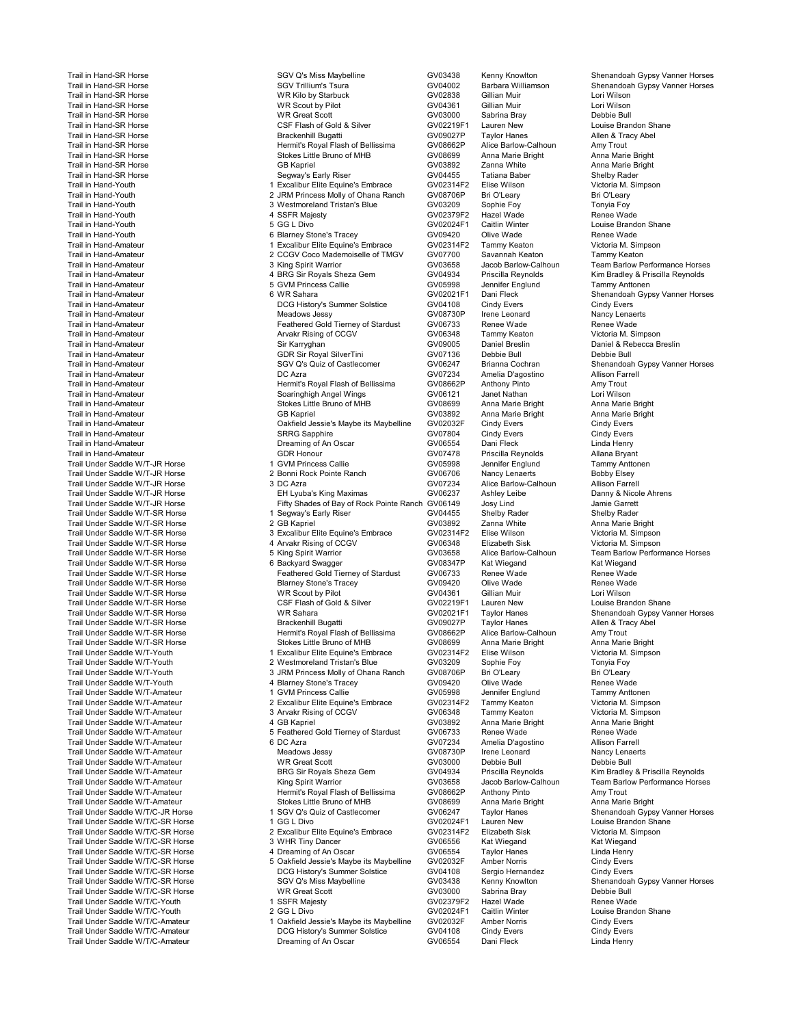Trail Under Saddle W/T/C-Amateur DCG History's Summer Solstice GV04108 Cindy Evers Cindy Evers Trail Under Saddle W/T/C-Amateur

Trail in Hand-SR Horse SGV Articles SGV Q's Miss Maybelline States (SCV03438 Kenny Knowlton Shenandoah Gypsy Vanner Horses<br>Trail in Hand-SR Horse SGV Trillium's Tsura (SCV Trillium's Tsura CHO Barbara Williamson Shenandoah Trail in Hand-SR Horse SGV Trillium's Tsura SGV Trillium's Tsura GV04002 Barbara Williamson Shenandoah Gypsy Vanner Horses<br>Trail in Hand-SR Horse Start Sture (Start Start) in Market GV02838 Gillian Muir I ori Wilson I ori Trail in Hand-SR Horse WR Kilo by Starbuck GV02838 Gillian Muir Lori Wilson Trail in Hand-SR Horse WR Scout by Pilot GV04361 Gillian Muir Lori Wilson<br>Trail in Hand-SR Horse WR Great Scott GV03000 Sabrina Bray Debbie Bull Trail in Hand-SR Horse WR Great Scott GV03000 Sabrina Bray Debbie Bul Trail in Hand-SR Horse CSF Flash of Gold & Silver GV02219F1 Lauren New Louise Brandon Shane Trail in Hand-SR Horse Brackenhill Bugatti GV09027P Taylor Hanes Allen & Tracy Abel Trail in Hand-SR Horse **Hermit's Royal Flash of Bellissima** GV08662P Alice Barlow-Calhoun Amy Trout<br>Trail in Hand-SR Horse **Hermit's Royal Flash of Bellissima** GV08662P Alice Barlow-Calhoun Amy Trout<br>CV08699 Anna Marie Bri Trail in Hand-SR Horse Stokes Little Bruno of MHB GV08699 Anna Marie Bright Anna Marie Bright Anna Marie Bright Trail in Hand-SR Horse General Control of the State State State Communications of the CV03892 Zanna White Anna Marie Bright<br>Trail in Hand-SR Horse General GV04455 GV04455 Tatiana Baber Shelby Rader Shelby Rader Trail in Hand-SR Horse Segway's Early Riser GV04455 Tatiana Baber Shelby Rader<br>Trail in Hand-Youth 1 Excalibur Elite Equine's Embrace GV02314F2 Elise Wilson Victor Trail in Hand-Youth 1 And 1 Excalibur Elite Equine's Embrace GV02314F2 Elise Wilson Victoria M.<br>1 Excali in Hand-Youth 1 Bri O'Leary 2 JRM Princess Molly of Ohana Ranch GV08706P Bri O'Leary 1999 Bri O'Leary Trail in Hand-Youth 2 JRM Princess Molly of Ohana Ranch GV08706P Bri O'Leary Bri O'Leary Trail in Hand-Youth 3 Westmoreland Tristan's Blue GV03209 Sophie Foy Tonyia Foy Trail in Hand-Youth 4 SSFR Majesty GV02379F2 Hazel Wade Renee Wade Trail in Hand-Youth **1980 COVID EXECUTE 1** GV02024F1 Caitlin Winter Louise Brandon Shane<br>Trail in Hand-Youth 1990 Covid Covid-Brandon Shane Stone's Tracey Covid-2009420 Olive Wade Renee Wade Trail in Hand-Youth 6 Blarney Stone's Tracey Governee GV09420 Olive Wade Renee Wade Renee Wade Renee Wade Stat<br>Trail in Hand-Amateur Clictoria M. Simpson 1996 1997 (Scalibur Elite Equine's Embrace GV02314F2 Tammy Keaton V Trail in Hand-Amateur Tammy Keaton 2 CCGV Coco Mademoiselle of TMGV GV07700 Savannah Keaton Tammy Keaton Tammy<br>2 CCGV Coco Mademoiselle of TMGV GV03658 Jacob Barlow-Calhoun Team Barlow P Trail in Hand-Amateur 3 King Spirit Warrior GV03658 Jacob Barlow-Calhoun Team Barlow Performance Horses Trail in Hand-Amateur 4 BRG Sir Royals Sheza Gem GV04934 Priscilla Reynolds Kim Bradley & Priscilla Reynolds<br>Trail in Hand-Amateur 5 GVM Princess Callie GV05998 Jenni Trail in Hand-Amateur 5 GVM Princess Callie GV05998 Jennifer Englund Tammy Anttonen Trail in Hand-Amateur **1992 Constant Constant Constant Constant Constant Constant Constant Constant Constant Const**<br>Trail in Hand-Amateur **Shenandoah Gypsy Vanner Horses**<br>Trail in Hand-Amateur **Shenandoah Gypsy Vanner Hors** DCG History's Summer Solstice GV04108 Cindy Evers Cindy Evers Cindy Evers Cindy Evers Cindy Evers Companies Companies Companies Companies Companies Companies Companies Companies Companies Companies Companies Companies Comp Trail in Hand-Amateur Meadows Jessy GV08730P Irene Leonard Nancy Lenaerts Trail in Hand-Amateur **Feathered Gold Tierney of Stardust** GV06733 Renee Wade Renee Wade Renee Wade Renee Wade Renee Wade Renee Wade Renee Wade Renee Wade Renee Wade Renee Wade Renee Wade Renee Wade Renee Wade Renee Wade R Trail in Hand-Amateur Arvakr Rising of CCGV GV06348 Tammy Keaton Victoria M. Simpson Trail in Hand-Amateur **Sin Mateur Sir Karryghan Sir Karryghan** GV09005 Daniel Breslin Breslin Daniel & Rebecca Breslin Computer Sir Roval SilverTini GV07136 Debbie Bull Debbie Bull Debbie Bull Debbie Bull Debbie Bull Debbi Trail in Hand-Amateur GDR Sir Royal SilverTini GV07136 Debbie Bull Debbie Bull Trail in Hand-Amateur **SGV Altam COVIC's Community Community** GV06247 Brianna Cochran Shenandoah Gypsy Vanner Horses<br>Trail in Hand-Amateur Shenandoah Shenandoah DC Azra Community Community GV07234 Amelia D'agostino Allison Trail in Hand-Amateur DC Azra GV07234 Amelia D'agostino Allison Farrell Trail in Hand-Amateur Hermit's Royal Flash of Bellissima GV08662P Anthony Pinto Amy Trout Trail in Hand-Amateur Soaringhigh Angel Wings GV06121 Janet Nathan Lori Wilson<br>Trail in Hand-Amateur Stokes Little Bruno of MHB GV08699 Anna Marie Bright Anna Marie B Trail in Hand-Amateur Stokes Little Bruno of MHB GV08699 Anna Marie Bright Anna Marie Bright Trail in Hand-Amateur GB Kapriel GV03892 Anna Marie Bright Anna Marie Bright Trail in Hand-Amateur Cindy Evers Communication of Oakfield Jessie's Maybe its Maybelline GV02032F Cindy Evers<br>Trail in Hand-Amateur Cindy Evers Cindy Evers Cindy Evers Cindy Evers Cindy Evers Cindy Evers Trail in Hand-Amateur SRRG Sapphire GV07804 Cindy Evers Cindy Evers Trail in Hand-Amateur Dreaming of An Oscar GV06554 Dani Fleck Linda Henry Trail in Hand-Amateur GDR Honour GV07478 Priscilla Reynolds Allana Bryant Trail Under Saddle W/T-JR Horse 1 GVM Princess Callie GV05998 Jennifer Englund Tammy Anttonen Trail Under Saddle W/T-JR Horse 2 Bonni Rock Pointe Ranch GV06706 Nancy Lenaerts Bobby Elsey Trail Under Saddle W/T-JR Horse 3 DC Azra GV07234 Alice Barlow-Calhoun Allison Farrell Trail Under Saddle W/T-JR Horse Trail Under Saddle W/T-JR Horse EH Lyuba's King Maximas GV06237 Ashley Leibe Danny & Nicole Ahrense EH Lyuba's King Maximas GV06237 Ashley Leibe Danny & Nicole Ahrense EH Lyuba's King Maxima Tifty Shades of Bay of Rock Pointe Ranch GV06149 Josy Lind<br>1 Segway's Early Riser GV04455 Shelby Rader Shelby Rader Trail Under Saddle W/T-SR Horse 1 Segway's Early Riser GV04455 Shelby Rader Shelby Rader Trail Under Saddle W/T-SR Horse 2 GB Kapriel GV03892 Zanna White Anna Marie Bright Trail Under Sammers Sammers 3 Excalibur Elite Equine's Embrace 3 Excalibur Elite Equine's Embrace 3 COD 314F2 Elise Wilson 4 Arvakr Rising of CCGV 6948 Elizabeth Sisk Victoria M. Simpson Trail Under Saddle W/T-SR Horse 4 Arvakr Rising of CCGV GV06348 Elizabeth Sisk Victoria M. Simpson Trail Under Saddle W/T-SR Horse 5 King Spirit Warrior GV03658 Alice Barlow-Calhoun Team Barlow Performance Horses Trail Under Saddle W/T-SR Horse **6 Ackyard Swagger** GV08347P Kat Wiegand Kat Wiegand Kat Wiegand<br>Trail Under Saddle W/T-SR Horse Wade Trail Under Saddle W/T-SR Horse Trail Under Saddle W/T-SR Horse<br>Trail Under Saddle W/T-SR Horse Trail Inder Stare Renee Stone's Trace Wade Renee GV06420 Trail Under Same Stone's Tracey Communication (SV09420 Olive Wade Renee Wade Renee Wade Renee Wade Renee Wade Renee Wade Renee Wade Renee Wade Renee Wade Renee Wade Renee Wade Renee Wade Renee Wade Renee Wade Renee Wade Re Trail Under Saddle W/T-SR Horse North Communication of MR Scout by Pilot North Group (GV04361 Gillian Muir Lori Wilson Lori Wilson Communication Shane Communication Communication Shane Communication Government Communicatio Trail Under Saddle W/T-SR Horse CSF Flash of Gold & Silver GV02219F1 Lauren New Louise Brandon Shanes CSF Flash of Gold & Silver GV020219F1 Lauren New Louise Brandon Shanes CSF Flash of Gold & Silver Communist GV02021F1 Ta WR Sahara Trail Under Solomon GV02021F1 Taylor Hanes Shenandoah Gypsy Vanner Horses Communical Gypsy Vanner Horses Communical Gypsy Vanner Horses Shenandoah Gypsy Vanner Horses Communical Gypsy Vanner Horses Communical Gyp Trail Under Saddle W/T-SR Horse Brackenhill Bugatti GV09027P Taylor Hanes Allen & Tracy Abel Trail Under Saddle W/T-SR Horse Hermit's Royal Flash of Bellissima GV08662P Alice Barlow-Calhoun Amy Trout Trail Under Saddle W/T-SR Horse **Stokes Little Bruno of MHB** GV08699 Anna Marie Bright Anna Marie Bright Anna Marie Bright<br>Trail Under Saddle W/T-Youth Simpson 1 Excalibur Elite Equine's Embrace GV02314F2 Elise Wilson Vict Trail Under Saddle W/T-Youth 1 Lite Crown Christene's Embrace GV02314F2 Elise Wilson Victoria M.<br>1 Trail Under Saddle W/T-Youth 1 2 Westmoreland Tristan's Blue GV03209 Sophie Foy Tonyia Foy Trail Under Saddle W/T-Youth 2 Westmoreland Tristan's Blue GV03209 Sophie Foy Tonyia Foy Trail Under Saddle W/T-Youth 3 JRM Princess Molly of Ohana Ranch GV08706P Bri O'Leary Bri O'Leary Trail Under Saddle W/T-Youth 4 Blarney Stone's Tracey GV09420 Olive Wade Renee Wade Trail Under Saddle W/T-Amateur 1 GVM Princess Callie 1 GV05998 Jennifer Englund Tammy Anttonen<br>1 GV02314F2 Tammy Anttonen Victoria M. Simpson 2 Excalibur Elite Equine's Embrace GV02314F2 Tammy Keaton Victoria M. Simpson 2 Excalibur Elite Equine's Embrace CV02314F2 Tammy Keaton Victoria M. Simpson<br>3 Arvakr Rising of CCGV GV06348 Tammy Keaton Victoria M. Simpson Trail Under Saddle W/T-Amateur **3 Arvakr Rising of CCGV** GV06348 Tammy Keaton Victoria M. Simpson COV<br>1991 Trail Under Saddle W/T-Amateur 1991 Anna Marie Bright Anna Marie Bright Anna Marie Bright Anna Marie Bright Trail Under Saddle W/T-Amateur 4 GB Kapriel GV03892 Anna Marie Bright Anna Marie Bright 5 Feathered Gold Tierney of Stardust GV06733 Renee Wade The Renee Wade Renee Wade Renee Wade Renee Wade Renee Wade Renee Wade Renee Wade Renee Wade Renee Wade Renee Wade Renee Wade Renee Wade Renee Wade Renee Wade Renee Wa Trail Under Saddle W/T-Amateur 6 DC Azra GV07234 Amelia D'agostino Allison Farrell Trail Under Saddle W/T-Amateur Meadows Jessy GV08730P Irene Leonard Nancy Lena<br>Trail Under Saddle W/T-Amateur Trail Under Saddle W/T-Amateur **Michael State Contrail Under Saddle W/T-Amateur C**WR Great Scott GV03000 Debbie Bull<br>Trail Under Saddle W/T-Amateur **Debie Bull Deby Deby BRG Sir Royals Sheza** Gem GV04934 Priscilla Reynolds Trail Under Saddle W/T-Amateur BRG Sir Royals Sheza Gem GV04934 Priscilla Reynolds Kim Bradley & Priscilla Reynolds Trail Under Saddle W/T-Amateur **Hermit's Royal Flash of Bellissima** GV08662P Anthony Pinto GV08662P Anthony Pinto Amy Trout Control of MHR CV08699 Anna Marie Bright Trail Under Saddle W/T-Amateur Stokes Little Bruno of MHB GV08699 Anna Marie Bruno of MHB<br>Trail Under Saddle W/T/C-JR Horse Stokes Anna Marie Anna Marie Bright Anna Marie Bright Annes (SCO) 1999 1999 Trail Under Saddle W/T/C-JR Horse 1 SGV Q's Quiz of Castlecomer GV06247 Taylor Hanes Shenandoah Gypsy Vanner Horses Trail Under Saddle W/T/C-SR Horse 1 GG L Divo 1 GG L Divo 1 GV02024F1 Lauren New 1 Louise Brandon Shandon Sha<br>1 GV02314F2 Elizabeth Sisk 1 Gictoria M. Simpson 1 Caucalibur Elite Equine's Embrace 1 GV02314F2 Elizabeth Sisk Trail Under Saddle W/T/C-SR Horse 2 Excalibur Elite Equine's Embrace CV02314F2 Elizabeth Sisk Victoria M. Simpson<br>2 Excalibur California M. Simpson Cover Stat Wiegand Creative Cover Stat Wiegand Kat Wiegand Trail Under Saddle W/T/C-SR Horse 3 WHR Tiny Dancer GV06556 Kat Wiegand Kat Wiegand Trail Under Saddle W/T/C-SR Horse 4 Dreaming of An Oscar GV06554 Taylor Hanes Linda Henry Trail Under Saddle W/T/C-SR Horse 5 Oakfield Jessie's Maybe its Maybelline GV02032F Amber Norris Cindy Evers Trail Under Saddle W/T/C-SR Horse **DRG History's Summer Solstice** GV04108 Sergio Hernandez<br>1992 Trail Under Saddle W/T/C-SR Horse **Cindy Evers Colla Cindy Everse Cindy Everse Cindy Everse Cindy Knowlton** Trail Under Sammen Sammen Saddle With Schenandoah Gypsy Vanner Horses Communisty Communisty Communisty Communisty Communisty Communisty Communisty Communisty Communisty Communisty Communisty Communisty Communisty Communist Trail Under Saddle W/T/C-SR Horse **WR Great Scott** GV03000 Sabrina Bray Computer Scott GV03000 Sabrina Bray Debbie Bull<br>Trail Under Saddle W/T/C-Youth Computer Sabrina And SSFR Majesty Computer Scott GV02379F2 Hazel Wade Trail Under Saddle W/T/C-Youth 1 SSFR Majesty 1 1 SSFR Majesty CV02379F2 Hazel Wade Renee Wade Renee Wade Renee Wade<br>Trail Under Saddle W/T/C-Youth 2 GG LDivo 2 GG LDivo GV02024F1 Caitlin Winter Louise Brandon Shane Trail Under Saddle W/T/C-Youth 2 GG L Divo Correst Caitlin Winter Caitlin Winter 2 GG L Divo CONDER CONTERNING<br>2 GG L Divo GV02024F1 Caitlin Winter Norris 1 Oakfield Jessie's Mavbe its Mavbelline GV02032F Amber Norris Trail Under Same Saddle Under School Under Norris 1 Oakfield Jessie's Maybe its Maybelline GV02032F Amber Norris Cindy Evers Cindy Evers Cindy Evers

Team Barlow Performance Horses<br>Amy Trout<br>Anna Marie Bright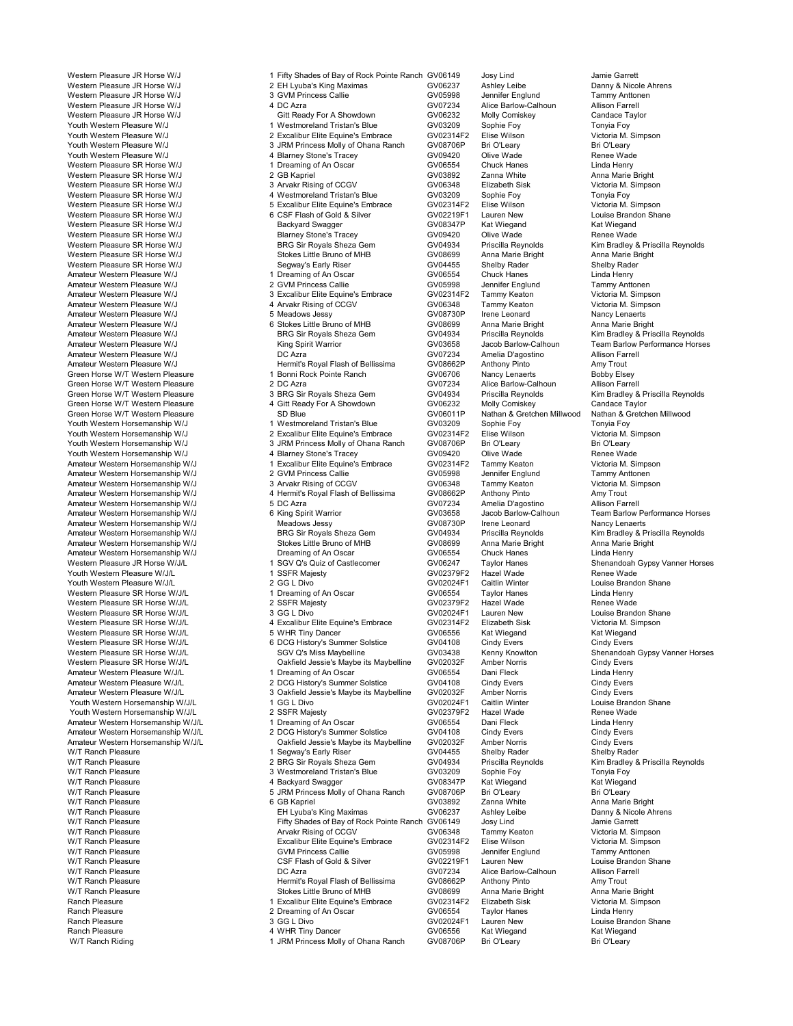Ranch Pleasure 2 Dreaming of An Oscar GV06554 Taylor Hanes Linda Henry Ranch Pleasure 3 GG L Divo GV02024F1 Lauren New Louise Brandon Shane Ranch Pleasure 1992 March 2006 (4 WHR Tiny Dancer 1992)<br>4 M/T Ranch Riding 1996 March 2008 Molly of Ohana Ranch 2008706P Bri O'Leary 1996 (Bri O'Leary 1996)

Western Pleasure JR Horse W/J 1 Fifty Shades of Bay of Rock Pointe Ranch GV06149 Josy Lind Jamie Garrett Jamie Garrett<br>Western Pleasure JR Horse W/J 2 EH Lyuba's King Maximas GV06237 Ashley Leibe Danny & Nicole Ahrens 2 EH Lyuba's King Maximas **GV06237** Ashley Leibe Danny & Nicole A<br>3 GVM Princess Callie **GV05998** Jennifer Englund Tammy Anttonen Western Pleasure JR Horse W/J **3** GVM Princess Callie **GV05998** Jennifer Englund Tammy Anttonen Communication Communication Communication Communication Farmell<br>Western Pleasure JR Horse W/J **Antication Communication Commun** Western Pleasure JR Horse W/J 4 DC Azra 4 CO Azra CV07234 Alice Barlow-Calhoun Allison Farrell<br>Western Pleasure JR Horse W/J Gitt Ready For A Showdown GV06232 Molly Comiskey Candace Taylor Western Pleasure JR Horse W/J **Gitt Ready For A Showdown** GV06232 Molly Comiskey Candace Taylor<br>1 Western Pleasure W/J 1 Westmoreland Tristan's Blue GV03209 Sophie Foy Tonyia Foy<br>1 2 Fxcalibur Flite Fquine's Embrace GV0231 Youth Western Pleasure W/J 1 1 Westmoreland Tristan's Blue GV03209 Sophie Foy<br>
Youth Western Pleasure W/J 1 2 Excelibur Filte Fourne's Embrace GV02314F2 Flise Wilson Youth Western Pleasure W/J 2 Excalibur Elite Equine's Embrace GV02314F2 Elise Wilson Victoria M. Simpson Youth Western Pleasure W/J **8 Mart 20 Trans and American State Of American** SUM Princess Molly of Ohana Ranch Bri O'Leary Bri O'Leary Bri O'Leary Bri O'Leary 3 JRM Princess Molly of Ohana Ranch GV08706P Bri O'Leary Bri O'L Youth Western Pleasure W/J 4 Blarney Stone's Tracey GV09420 Olive Wade Renee Wade Western Pleasure SR Horse W/J 1 Dreaming of An Oscar 1999 CW06554 Chuck Hanes 1999 Chuck Hanes 2006554 Chuck Hanes 2006554 Chuck Hanes 2 GV06554 Chuck Hanes 2 GV06554 Chuck Hanes 2 GV06554 Chuck Hanes 2 GV06554 Chuck Hanes Western Pleasure SR Horse W/J 2 GB Kapriel GV03892 Zanna White Anna Marie Bright Western Pleasure SR Horse W/J 3 Arvakr Rising of CCGV GV06348 Elizabeth Sisk Victoria M.<br>Western Pleasure SR Horse W/J 4 Westmoreland Tristan's Blue GV03209 Sophie Foy To Western Pleasure SR Horse W/J **4** Westmoreland Tristan's Blue GV03209 Sophie Foy **Tonyia Foy** Tonyia Foy and the Standard Tristan's Blue GV02314F2 Elise Wilson Cictoria M. Simpson<br>Western Pleasure SR Horse W/J **Standard St** 5 Excalibur Elite Equine's Embrace GV02314F2 Elise Wilson Victoria M. Simpson<br>6 CSE Flash of Gold & Silver GV02219F1 Lauren New Jouise Brandon Shane Western Pleasure SR Horse W/J 6 CSF Flash of Gold & Silver GV02219F1 Lauren New Louise Brand<br>Western Pleasure SR Horse W/J Backyard Swagger GV08347P Kat Wiegand Kat Wiegand Western Pleasure SR Horse W/J **Backyard Swagger** GV08347P Kat Wiegand Kat Wiegand<br>Western Pleasure SR Horse W/J Blarney Stone's Tracey GV09420 Olive Wade Renee Wade Western Pleasure SR Horse W/J Blarney Stone's Tracey GV09420 Olive Wade Renee Wade Western Libert Pleasure SR Horse William Covern Christial Reynolds<br>Stokes Little Bruno of MHB (GV08699 Anna Marie Bright Anna Marie Bright Western Pleasure SR Horse W/J Stokes Little Bruno of MHB GV08699 Anna Marie Bright Anna Marie Bright Western Pleasure SR Horse W/J Segway's Early Riser GV04455 Shelby Rader Shelby Rader Shelby Rader Shelby Rader<br>Amateur Western Pleasure W/J Shelby Rader Shelby Rader All Dreaming of An Oscar GV06554 Chuck Hanes Chuck Hanes Amateur Western Pleasure W/J 1 Dreaming of An Oscar 1999 (States 1999) Chuck Hanes Calida Henry<br>Amateur Western Pleasure W/J 1999 (Sample 2 GVM Princess Callie 1999 (States 1999) Alennifer Englund 1999 Tammy Anttonen Amateur Western Pleasure W/J **2 GVM Princess Callie 1996** GV05998 Jennifer Englund Tammy Anttonen<br>2 GV02314F2 Tammy Keaton (Victoria M. Simpson 3 Excalibur Elite Equine's Embrace GV02314F2 Tammy Keaton (Victoria M. Simpson Amateur Western Plannet Control of the Control of the Control of Control of the Control of the Control of the C<br>4 Arvakr Rising of CCGV Control Control of COOS348 Tammy Keaton Victoria M. Simpson Amateur Western Pleasure W/J **4 Arvakr Rising of CCGV COV** GV06348 Tammy Keaton Victoria M. Simpson Cover and Amateur Western Pleasure W/J 5 Meadows Jessy COCC COV CV08730P Irene Leonard Nancy Lenaerts Amateur Western Pleasure W/J 5 Meadows Jessy GV08730P Irene Leonard Nancy Lenaerts Amateur Western Pleasure W/J 6 Stokes Little Bruno of MHB GV08699 Anna Marie Bright Anna Marie Bright Anna Marie Bright Anna Marie Bright Anna Marie Bright Anna Marie Bright Anna Marie Bright Anna Marie Bright Anna Marie B Amateur Western Pleasure W/J BRG Sir Royals Sheza Gem GV04934 Priscilla Reynolds Kim Bradley & Priscilla Reynolds<br>Amateur Western Pleasure W/J Kim Bradley & King Spirit Warrior (GV03658 Jacob Barlow-Calhoun Team Barlow Per King Spirit Warrior **Amateur COVING MILEAN COVERSURE SEARCH AMATE**URE TEAM COVING MILEAN COVING DETERMING DETERM<br>Amelia D'agostino Dellis Deverting Allison Farrell D'Allison Performance Horses Amateur Western Pleasure W/J **DC Azra COVIDS Example 2007234** Amelia D'agostino Allison Farrella D'agostino Amelia D'agostino Allison Farrella D'agostino America COVIDS America COVIDS America Hermit's Royal Flash of Bellis Amy Trout Hermit's Royal Flash of Bellissima GV08662P Anthony Pinto Amy Trout<br>1 Bonni Rock Pointe Ranch GV06706 Nancy Lenaerts Bobby Elsey Green Horse W/T Western Pleasure 1 Bonni Rock Pointe Ranch 1 Cover 2006706 Nancy Lenaerts Bobby Elsey<br>Green Horse W/T Western Pleasure 2 DC Azra 2 GV07234 Alice Barlow-Calhoun Allison Farrell Green Horse W/T Western Pleasure **2DC Azra 12 DC Azra 1988** GV07234 Alice Barlow-Calhoun Allison Farrell<br>1998 Green Horse W/T Western Pleasure **3BRG Sir Royals Sheza Gem** 1 GV04934 Priscilla Reynolds Kim Bradley & Priscill Green Horse W/T Western Pleasure **3 BRG Sir Royals Sheza Gem** GV04934 Priscilla Reynolds Kim Bradley & P<br>3 BRG Streen Horse W/T Western Pleasure 4 Gitt Ready For A Showdown GV06232 Molly Comiskey Candace Taylor Green Horse W/T Western Pleasure **4 Gitt Ready For A Showdown** GV06232 Molly Comiskey Candace Taylor<br>GV06011P Nathan & Gretchen Millwood Nathan & Gretchen Millwood Nathan & Gretchen Millwood Nathan & Gretchen Millwood Green Horse W/T Western Pleasure SD Blue GV06011P Nathan & Gretchen Millwood Nathan & G<br>Youth Western Horsemanship W/J 1 Westmoreland Tristan's Blue GV03209 Sophie Foy Tonyia Youth Western Horsemanship W/J 1 Westmoreland Tristan's Blue GV03209 Sophie Foy Tonyia Foy<br>Youth Western Horsemanship W/J 2 Excalibur Elite Equine's Embrace GV02314F2 Elise Wilson Victoria Nouth Western Horsemanship W/J 2 Excalibur Elite Equine's Embrace GV02314F2 Elise Wilson Victoria M.<br>19 3 Youth Western Horsemanship W/J 3 JRM Princess Molly of Ohana Ranch GV08706P Bri O'Leary Bri O'Leary Volket Western Horseman Horsemanship Wilders Molly of Ohana Ranch GV08706P Bri O'Leary Bri O'Leary Bri O'Leary<br>4 Blarney Stone's Tracey and GV09420 Olive Wade Youth Western Horsemanship W/J **4 Blarney Stone's Tracey 6** GV09420 Olive Wade Renee Wade<br>Amateur Western Horsemanship W/J 1 Excalibur Elite Equine's Embrace GV02314F2 Tammy Keaton Victoria M. Simpson Amateur Western Horsemanship Wilson Horsemanship Wilson Wilson Wictoria M. Simpson<br>1 Excalibur Elite Express Callie GV05998 Jennifer Englund Tammy Anttonen Amateur Western Horsemanship W/J 2 GVM Princess Callie GV05998 Jennifer Englund Tammy Anttonen<br>Amateur Western Horsemanship W/J 3 Arvakr Rising of CCGV GV06348 Tammy Keaton Amateur Western Horsemanship W/J 3 Arvakr Rising of CCGV 66948 Tammy Keaton Christoria M.<br>Amateur Western Horsemanship W/J 4 Hermit's Royal Flash of Bellissima GV08662P Anthony Pinto Amy Trout Amateur Western Horsemanship W/J **4 Hermit's Royal Flash of Bellissima** GV08662P Anthony Pinto Amy Trout Amy Trout<br>Amateur Western Horsemanship W/J 5 DC Azra GV07234 Amelia D'agostino Allison Farrell Amateur Western Horsemanship W/J 5 DC Azra 5 DC Azra CV07234 Amelia D'agostino Allison Farrell<br>Amateur Western Horsemanship W/J 6 King Spirit Warrior GV03658 Jacob Barlow-Calhoun Team Barlow Performance Horses Amateur Western Horsemanship W/J 6 King Spirit Warrior GV03658 Jacob Barlow-Calhoun Team Barlow Performance Horses Amateur Western Horsemanship W/J Meadows Jessy GV08730P Irene Leonard Nancy Lenaerts Amateur Western Horsemanship W/J BRG Sir Royals Sheza Gem GV04934 Priscilla Reynolds Kim Bradley & Priscilla Reynolds<br>Amateur Western Horsemanship W/J Stokes Little Bruno of MHB GV08699 Anna Marie Bright Anna Marie Bright Amateur Western Horsemanship W/J Stokes Little Bruno of MHB GV08699 Anna Marie Bright Anna Marie I<br>Amateur Western Horsemanship W/J Dreaming of An Oscar GV06554 Chuck Hanes Linda Henry Amateur Western Horsemanship W/J **Dreaming of An Oscar CALC 84 CHUCK Hanes** GV06554 Chuck Hanes Linda Henry Chuck Hanes Linda Henry Chuck Hanes Linda Henry Chuck Hanes Linda Henry Chuck Hanes Linda Henry Chuck Hanes Linda Western Pleasure JR Horse W/J/L **1 SGV Q's Quiz of Castlecomer** GV06247 Taylor Hanes Shenandoah Gypsy Vanner Horses<br>1 SSFR Maiesty CV02379F2 Hazel Wade Renee Wade Youth Western Pleasure W/J/L 1 SSFR Majesty GV02379F2 Hazel Wade Renee Wade Youth Western Pleasure W/J/L **2 GG L Divo GYOUT ALL AND STAND CONCEVERT** Caitlin Winter Louise Brandon Shane<br>Western Pleasure SR Horse W/J/l **Standard Concerned ALL And Standard Concerned Concerned Concerned Concerned Con** Western Pleasure SR Horse W/J/L 1 Dreaming of An Oscar GV06554 Taylor Hanes Linda Henry Western Pleasure SR Horse W/J/L 2 SSFR Majesty GV02379F2 Hazel Wade Renee Wade <br>Western Pleasure SR Horse W/J/L 3 GG L Divo GV02024F1 Lauren New Louise Brandon Sh Western Pleasure SR Horse W/J/L 3 GG L Divo GV02024F1 Lauren New Louise Brandon Sha<br>Western Pleasure SR Horse W/J/L 4 Excalibur Elite Equine's Embrace GV02314F2 Elizabeth Sisk 4 Excalibur Elite Equine's Embrace GV02314F2 Elizabeth Sisk Victoria M. Si<br>5 WHR Tiny Dancer GV06556 Kat Wiegand Kat Wiegand Western Pleasure SR Horse W/J/L **6 WHR Tiny Dancer** GV06556 Kat Wiegand Kat Wiegand Kat Wiegand<br>Western Pleasure SR Horse W/J/L **GUCCHIST GUCCHIST COVILLAGE COVICES** GV04108 Cindy Evers Cindy Evers Western Pleasure SR Horse W/J/L 6 DCG History's Summer Solstice GV04108 Cindy Evers Cindy Evers Cindy Evers Cindy Evers Cindy Evers Covers Covers Covers Covers Covers Covers Covers Covers Covers Covers Covers Covers Covers Western Pleasure SR Horse W/J/L **SGV Q's Miss Maybelline** GV03438 Kenny Knowlton Shenandoah Gypsy Vanner Horses<br>Western Pleasure SR Horse W/J/L Cartield Jessie's Maybe its Maybelline GV02032F Amber Norris Cindy Evers Cindy Western Pleasure SR Horse W/J/L **Cannel Communist Communist Communist Communist Communist Communist Communist C**<br>19 Amateur Western Pleasure W/J/L Cinda Henry 1 Dreaming of An Oscar Guida Gove GV06554 Dani Fleck Communist Amateur Western Pleasure W/J/L 1 Dreaming of An Oscar CV06554 Dani Fleck Linda Henry<br>1 DCG History's Summer Solstice GV04108 Cindy Evers Cindy Evers Cindy Evers Amateur Western Pleasure W/J/L 2 DCG History's Summer Solstice GV04108 Cindy Evers Cindy Evers Cindy Evers Cindy Evers<br>2 Oakfield Jessine World Cindy Evers Cindy Evers Cindy Evers State of Maybelline GV02032F Amber Norris - Amber Norris Cindy Evers<br>Amber Norris Cindy Evers Cindy Evers<br>1 GG L Divo Cindy Colombia GV02024F1 Caitlin Winter Colosie Brandon Shane Youth Western Horsemanship W/J/L 1 GG L Divo COV2024F1 Caitlin Winter Louise Brandon Shane Brandon Shane Brandon<br>1 GV02379F2 Hazel Wade Brandon Shane Brandon Shane Brandon Shane Brandon Shane Brandon Shane Brandon Shane Br Youth Western Horsemanship W/J/L 2 SSFR Majesty 2 CV02379F2 Hazel Wade Renee Wade<br>2 Amateur Western Horsemanship W/J/L 1 Dreaming of An Oscar CV06554 Dani Fleck Linda Henry Amateur Western Horsemanship W/J/L 1 Dreaming of An Oscar GV06554 Dani Fleck Linda Henry<br>Amateur Western Horsemanship W/J/L 2 DCG History's Summer Solstice GV04108 Cindy Evers Ci 2 DCG History's Summer Solstice <br>Cindy Evers Cindy Evers Cindy Evers Cindy Evers Cindy Evers Cindy Evers Cindy Evers Amateur Western Horsemanship W/J/L Oakfield Jessie's Maybe its Maybelline GV02032F Amber Norris Cindy Evers<br>W/T Ranch Pleasure 1 Segway's Early Riser GV04455 Shelby Rader Sh W/T Ranch Pleasure 1 Segway's Early Riser CV04455 Shelby Rader GV04455 Shelby Rader Shelby Rader Shelby Rader<br>1 Shelby Reasure 1 Shelby Rader Shelby Riser Sheeza Gem (GV04934 Priscilla Reynolds W/T Ranch Pleasure 2 BRG Sir Royals Sheza Gem CV04934 Priscilla Reynolds Kim Bradley & Priscilla Reynolds<br>2 BRG Sir Royals Sheza Gem GV03209 Sophie Fov Tonvia Fov Tonic Fov W/T Ranch Pleasure 3 Westmoreland Tristan's Blue GV03209 Sophie Foy Tonyia Foy W/T Ranch Pleasure 4 Backyard Swagger GV08347P Kat Wiegand Kat Wiegand W/T Ranch Pleasure 5 JRM Princess Molly of Ohana Ranch GV08706P Bri O'Leary Bri O'Leary W/T Ranch Pleasure 6 GB Kapriel GV03892 Zanna White Anna Marie Bright W/T Ranch Pleasure **EH Lyuba's King Maximas** GV06237 Ashley Leibe Danny & Nicole Ahrens<br>W/T Ranch Pleasure **Danny Action Contains the Danny of Trifty** Shades of Bay of Rock Pointe Ranch GV06149 Josy Lind W/T Ranch Pleasure Fifty Shades of Bay of Rock Pointe Ranch GV06149 Josy Lind Jamie Garrett W/T Ranch Pleasure Arvakr Rising of CCGV GV06348 Tammy Keaton Victoria M. Simpson<br>W/T Ranch Pleasure Excalibur Elite Equine's Embrace GV02314F2 Elise Wilson Victor Excalibur Elite Equine's Embrace GV02314F2 Elise Wilson Victoria M. Simps<br>GVM Princess Callie GV05998 Jennifer Englund Tammy Anttonen W/T Ranch Pleasure GVM Princess Callie GV05998 Jennifer Englund Tammy Anttonen W/T Ranch Pleasure CSF Flash of Gold & Silver GV02219F1 Lauren New Louise Brandon Shane W/T Ranch Pleasure DC Azra GV07234 Alice Barlow-Calhoun Allison Farrell W/T Ranch Pleasure **Hermit's Royal Flash of Bellissima** GV08662P Anthony Pinto Amy Trout<br>M/T Ranch Pleasure **Anna Marie Bright** Stokes Little Bruno of MHB GV08699 Anna Marie Bright Anna Marie Bright W/T Ranch Pleasure **Stokes Little Bruno of MHB** GV08699 Anna Marie Bright Anna Marie Bright Anna Marie Bright Anna Marie Bright Anna Marie Bright Anna Marie Bright Composed and Stokes Little Bruno of MHB GV02314F2 Elizabet Ranch Pleasure 1 Excalibur Elite Equine's Embrace GV02314F2 Elizabeth Sisk Victoria M. Simpson

1 JRM Princess Molly of Ohana Ranch